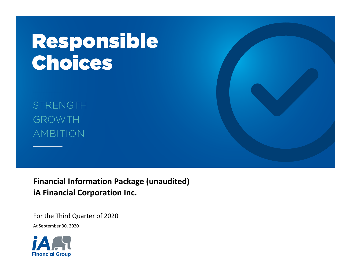# Responsible Choices

**STRENGTH** GROWTH AMBITION

**Financial Information Package (unaudited) iA Financial Corporation Inc.**

For the Third Quarter of 2020<br>At September 30, 2020

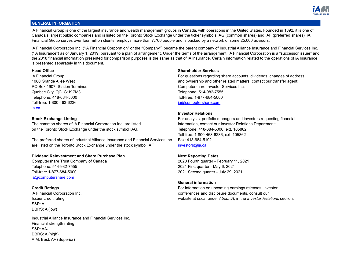

# **GENERAL INFORMATION**

iA Financial Group is one of the largest insurance and wealth management groups in Canada, with operations in the United States. Founded in 1892, it is one of Canada's largest public companies and is listed on the Toronto Stock Exchange under the ticker symbols IAG (common shares) and IAF (preferred shares). iA Financial Group serves over four million clients, employs more than 7,700 people and is backed by a network of some 25,000 advisors.

iA Financial Corporation Inc. ("iA Financial Corporation" or the "Company") became the parent company of Industrial Alliance Insurance and Financial Services Inc. ("iA Insurance") as of January 1, 2019, pursuant to a plan of arrangement. Under the terms of the arrangement, iA Financial Corporation is a "successor issuer" and the 2018 financial information presented for comparison purposes is the same as that of iA Insurance. Certain information related to the operations of iA Insurance is presented separately in this document.

Quebec City, QC G1K 7M3 Telephone: 514-982-7555 Telephone: 418-684-5000 Toll-free: 1-877-684-5000 Toll-free: 1-800-463-6236 [ia@computershare.com](mailto:ia@computershare.com) [ia.ca](http://ia.ca)

The common shares of iA Financial Corporation Inc. are listed information, contact our Investor Relations Department: on the Toronto Stock Exchange under the stock symbol IAG. The Stock Stephone: 418-684-5000, ext. 105862

The preferred shares of Industrial Alliance Insurance and Financial Services Inc. Fax: 418-684-5192 are listed on the Toronto Stock Exchange under the stock symbol IAF. [investors@ia.ca](mailto:investors@ia.ca)

# **Dividend Reinvestment and Share Purchase Plan Next Reporting Dates**

Telephone: 514-982-7555 2021 First quarter - May 6, 2021 Toll-free: 1-877-684-5000 2021 Second quarter - July 29, 2021 [ia@computershare.com](mailto:ia@computershare.com)

S&P: A DBRS: A (low)

Industrial Alliance Insurance and Financial Services Inc. Financial strength rating S&P: AA-DBRS: A (high) A.M. Best: A+ (Superior)

# **Head Office Shareholder Services**

iA Financial Group **For a Financial Group** For questions regarding share accounts, dividends, changes of address 1080 Grande Allée West and ownership and other related matters, contact our transfer agent: PO Box 1907, Station Terminus **Computershare Investor Services Inc.** Computershare Investor Services Inc.

# **Investor Relations**

**Stock Exchange Listing** For analysts, portfolio managers and investors requesting financial Toll-free: 1-800-463-6236, ext. 105862

Computershare Trust Company of Canada 2020 Fourth quarter - February 11, 2021

# **General information**

**Credit Ratings** For information on upcoming earnings releases, investor iA Financial Corporation Inc. conferences and disclosure documents, consult our Issuer credit rating website at ia.ca, under *About iA*, in the *Investor Relations* section.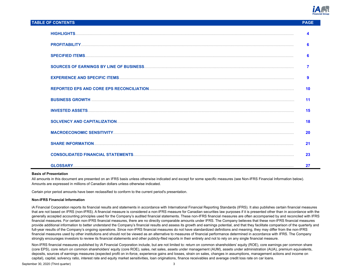

## **TABLE OF CONTENTS PAGE**

| 6  |
|----|
| 6  |
|    |
| 9  |
| 10 |
| 11 |
| 15 |
| 18 |
| 20 |
| 21 |
| 23 |
| 27 |

#### **Basis of Presentation**

All amounts in this document are presented on an IFRS basis unless otherwise indicated and except for some specific measures (see Non-IFRS Financial Information below). Amounts are expressed in millions of Canadian dollars unless otherwise indicated.

Certain prior period amounts have been reclassified to conform to the current period's presentation.

#### **Non-IFRS Financial Information**

iA Financial Corporation reports its financial results and statements in accordance with International Financial Reporting Standards (IFRS). It also publishes certain financial measures that are not based on IFRS (non-IFRS). A financial measure is considered a non-IFRS measure for Canadian securities law purposes if it is presented other than in accordance with the generally accepted accounting principles used for the Company's audited financial statements. These non-IFRS financial measures are often accompanied by and reconciled with IFRS financial measures. For certain non-IFRS financial measures, there are no directly comparable amounts under IFRS. The Company believes that these non-IFRS financial measures provide additional information to better understand the Company's financial results and assess its growth and earnings potential, and that they facilitate comparison of the quarterly and full-year results of the Company's ongoing operations. Since non-IFRS financial measures do not have standardized definitions and meaning, they may differ from the non-IFRS financial measures used by other institutions and should not be viewed as an alternative to measures of financial performance determined in accordance with IFRS. The Company strongly encourages investors to review its financial statements and other publicly-filed reports in their entirety and not to rely on any single financial measure.

Non-IFRS financial measures published by iA Financial Corporation include, but are not limited to: return on common shareholders' equity (ROE), core earnings per common share (core EPS), core return on common shareholders' equity (core ROE), sales, net sales, assets under management (AUM), assets under administration (AUA), premium equivalents, deposits, sources of earnings measures (expected profit on in-force, experience gains and losses, strain on sales, changes in assumptions, management actions and income on capital), capital, solvency ratio, interest rate and equity market sensitivities, loan originations, finance receivables and average credit loss rate on car loans.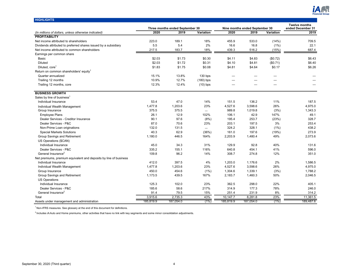

|                                                                   |                |                                 |             |                |                                |           | <b>Twelve months</b> |
|-------------------------------------------------------------------|----------------|---------------------------------|-------------|----------------|--------------------------------|-----------|----------------------|
|                                                                   |                | Three months ended September 30 |             |                | Nine months ended September 30 |           | ended December 31    |
| (In millions of dollars, unless otherwise indicated)              | 2020           | 2019                            | Variation   | 2020           | 2019                           | Variation | 2019                 |
| <b>PROFITABILITY</b>                                              |                |                                 |             |                |                                |           |                      |
| Net income attributed to shareholders                             | 223.0          | 189.1                           | 18%         | 455.9          | 533.0                          | (14% )    | 709.5                |
| Dividends attributed to preferred shares issued by a subsidiary   | 5.5            | 5.4                             | 2%          | 16.6           | 16.8                           | (1%)      | 22.1                 |
| Net income attributed to common shareholders                      | 217.5          | 183.7                           | 18%         | 439.3          | 516.2                          | (15%)     | 687.4                |
| Earnings per common share                                         |                |                                 |             |                |                                |           |                      |
| Basic                                                             | \$2.03         | \$1.73                          | \$0.30      | \$4.11         | \$4.83                         | (\$0.72)  | \$6.43               |
| <b>Diluted</b>                                                    | \$2.03         | \$1.72                          | \$0.31      | \$4.10         | \$4.81                         | (\$0.71)  | \$6.40               |
| Diluted, core <sup>1</sup>                                        | \$1.83         | \$1.75                          | \$0.08      | \$4.81         | \$4.64                         | \$0.17    | \$6.26               |
| Return on common shareholders' equity <sup>1</sup>                |                |                                 |             |                |                                |           |                      |
| Quarter annualized                                                | 15.1%          | 13.8%                           | $130$ bps   | —              |                                | —         |                      |
| Trailing 12 months                                                | 10.9%          | 12.7%                           | $(180)$ bps |                |                                |           |                      |
| Trailing 12 months, core                                          | 12.3%          | 12.4%                           | $(10)$ bps  |                |                                |           |                      |
| <b>BUSINESS GROWTH</b>                                            |                |                                 |             |                |                                |           |                      |
| Sales by line of business <sup>1</sup>                            |                |                                 |             |                |                                |           |                      |
| Individual Insurance                                              | 53.4           | 47.0                            | 14%         | 151.5          | 136.2                          | 11%       | 187.5                |
| Individual Wealth Management                                      | 1,477.8        | 1,203.6                         | 23%         | 4,527.6        | 3,598.6                        | 26%       | 4,975.0              |
| Group Insurance                                                   | 375.5          | 375.5                           |             | 989.8          | 1.019.8                        | (3%)      | 1,343.3              |
| <b>Employee Plans</b>                                             | 26.1           | 12.9                            | 102%        | 106.1          | 42.9                           | 147%      | 49.1                 |
| Dealer Services - Creditor Insurance                              | 90.1           | 97.6                            | (8%)        | 195.4          | 253.7                          | (23%)     | 328.7                |
| Dealer Services - P&C                                             | 87.0           | 70.6                            | 23%         | 203.1          | 197.5                          | 3%        | 253.4                |
| Non-Prime Loan originations                                       | 132.0          | 131.5                           |             | 324.2          | 328.1                          | $(1\%)$   | 438.2                |
| <b>Special Markets Solutions</b>                                  | 40.3           | 62.9                            | (36%)       | 161.0          | 197.6                          | (19%)     | 273.9                |
| Group Savings and Retirement                                      | 1,180.0        | 446.5                           | 164%        | 2,203.9        | 1,480.4                        | 49%       | 2,073.6              |
| US Operations (\$CAN)                                             |                |                                 |             |                |                                |           |                      |
| Individual Insurance                                              | 45.0           | 34.3                            | 31%         | 129.9          | 92.8                           | 40%       | 131.6                |
| Dealer Services - P&C                                             |                | 155.1                           | 116%        |                |                                | 41%       | 596.0                |
| General Insurance <sup>2</sup>                                    | 335.2<br>109.8 | 96.2                            | 14%         | 640.8<br>308.7 | 454.1<br>274.8                 | 12%       | 351.0                |
|                                                                   |                |                                 |             |                |                                |           |                      |
| Net premiums, premium equivalent and deposits by line of business |                |                                 |             |                |                                |           |                      |
| Individual Insurance                                              | 412.0          | 397.5                           | 4%          | 1,203.0        | 1,176.6                        | 2%        | 1,586.5              |
| Individual Wealth Management                                      | 1,477.8        | 1,203.6                         | 23%         | 4,527.6        | 3,598.6                        | 26%       | 4,975.0              |
| Group Insurance                                                   | 450.0          | 454.6                           | (1%)        | 1,304.6        | 1,339.1                        | (3%)      | 1,788.2              |
| Group Savings and Retirement                                      | 1,173.5        | 439.5                           | 167%        | 2,183.7        | 1,460.3                        | 50%       | 2,046.5              |
| <b>US Operations</b>                                              |                |                                 |             |                |                                |           |                      |
| Individual Insurance                                              | 125.3          | 102.0                           | 23%         | 362.5          | 298.0                          | 22%       | 405.1                |
| Dealer Services - P&C                                             | 185.6          | 58.6                            | 217%        | 314.9          | 177.3                          | 78%       | 246.0                |
| General Insurance <sup>2</sup>                                    | 91.4           | 79.5                            | 15%         | 251.4          | 231.9                          | 8%        | 314.2                |
| Total                                                             | 3,915.6        | 2,735.3                         | 43%         | 10,147.7       | 8,281.8                        | 23%       | 11,361.5             |
| Assets under management and administration                        | 185,819.9      | 187,054.0                       | $(1\%)$     | 185,819.9      | 187,054.0                      | (1%       | 189,487.6            |

 $<sup>2</sup>$  Includes iA Auto and Home premiums, other activities that have no link with key segments and some minor consolidation adjustments.</sup>

<span id="page-3-0"></span>**HIGHLIGHTS**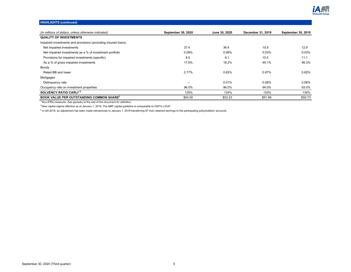

# **HIGHLIGHTS (continued)**

| (In millions of dollars, unless otherwise indicated)          | <b>September 30, 2020</b> | June 30, 2020 | December 31, 2019 | <b>September 30, 2019</b> |
|---------------------------------------------------------------|---------------------------|---------------|-------------------|---------------------------|
| <b>QUALITY OF INVESTMENTS</b>                                 |                           |               |                   |                           |
| Impaired investments and provisions (excluding insured loans) |                           |               |                   |                           |
| Net impaired investments                                      | 37.4                      | 36.4          | 10.9              | 12.9                      |
| Net impaired investments as a % of investment portfolio       | 0.08%                     | 0.08%         | 0.03%             | 0.03%                     |
| Provisions for impaired investments (specific)                | 8.0                       | 8.1           | 10.5              | 11.1                      |
| As a % of gross impaired investments                          | 17.6%                     | 18.2%         | 49.1%             | 46.3%                     |
| <b>Bonds</b>                                                  |                           |               |                   |                           |
| Rated BB and lower                                            | 0.77%                     | 0.83%         | 0.87%             | 0.82%                     |
| Mortgages                                                     |                           |               |                   |                           |
| Delinguency rate                                              |                           | 0.01%         | 0.08%             | 0.08%                     |
| Occupancy rate on investment properties                       | 96.0%                     | 96.0%         | 94.0%             | 93.0%                     |
| SOLVENCY RATIO CARLI <sup>1,2</sup>                           | 125%                      | 124%          | 133%              | 134%                      |
| <b>BOOK VALUE PER OUTSTANDING COMMON SHARE3</b>               | \$54.50                   | \$53.23       | \$51.99           | \$50.73                   |

 $1$ Non-IFRS measures. See glossary at the end of this document for definition.

 $2$ New capital regime effective as at January 1, 2018. The AMF capital guideline is comparable to OSFI's LICAT.

 $3$  In Q4-2019, an adjustment has been made retroactively to January 1, 2018 transferring \$7 from retained earnings to the participating policyholders' accounts.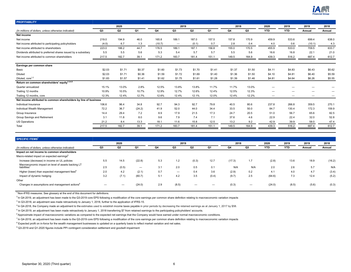

<span id="page-5-0"></span>

| <b>PROFITABILITY</b>                                             |        |                |        |        |                          |                |        |        |        |                          |            |        |        |
|------------------------------------------------------------------|--------|----------------|--------|--------|--------------------------|----------------|--------|--------|--------|--------------------------|------------|--------|--------|
|                                                                  |        | 2020           |        |        | 2019                     |                |        | 2018   |        | 2020                     | 2019       | 2019   | 2018   |
| (In millions of dollars, unless otherwise indicated)             | Q3     | Q <sub>2</sub> | Q1     | Q4     | Q3                       | Q <sub>2</sub> | Q1     | Q4     | Q3     | <b>YTD</b>               | <b>YTD</b> | Annual | Annual |
| Net income                                                       |        |                |        |        |                          |                |        |        |        |                          |            |        |        |
| Net income                                                       | 219.0  | 194.9          | 46.0   | 165.8  | 189.1                    | 187.0          | 157.5  | 157.8  | 170.9  | 459.9                    | 533.6      | 699.4  | 638.0  |
| Net income attributed to participating policyholders             | (4.0)  | 6.7            | 1.3    | (10.7) | $\overline{\phantom{m}}$ | (0.1)          | 0.7    | 2.8    | 0.4    | 4.0                      | 0.6        | (10.1) | 4.3    |
| Net income attributed to shareholders                            | 223.0  | 188.2          | 44.7   | 176.5  | 189.1                    | 187.1          | 156.8  | 155.0  | 170.5  | 455.9                    | 533.0      | 709.5  | 633.7  |
| Dividends attributed to preferred shares issued by a subsidiary  | 5.5    | 5.5            | 5.6    | 5.3    | 5.4                      | 5.7            | 5.7    | 5.5    | 5.6    | 16.6                     | 16.8       | 22.1   | 21.0   |
| Net income attributed to common shareholders                     | 217.5  | 182.7          | 39.1   | 171.2  | 183.7                    | 181.4          | 151.1  | 149.5  | 164.9  | 439.3                    | 516.2      | 687.4  | 612.7  |
|                                                                  |        |                |        |        |                          |                |        |        |        |                          |            |        |        |
| Earnings per common share                                        |        |                |        |        |                          |                |        |        |        |                          |            |        |        |
| Basic                                                            | \$2.03 | \$1.71         | \$0.37 | \$1.60 | \$1.73                   | \$1.70         | \$1.41 | \$1.37 | \$1.50 | \$4.11                   | \$4.83     | \$6.43 | \$5.62 |
| <b>Diluted</b>                                                   | \$2.03 | \$1.71         | \$0.36 | \$1.59 | \$1.72                   | \$1.69         | \$1.40 | \$1.36 | \$1.50 | \$4.10                   | \$4.81     | \$6.40 | \$5.59 |
| Diluted, core <sup>1,2</sup>                                     | \$1.83 | \$1.57         | \$1.41 | \$1.62 | \$1.75                   | \$1.61         | \$1.28 | \$1.39 | \$1.46 | \$4.81                   | \$4.64     | \$6.26 | \$5.55 |
| Return on common shareholders' equity <sup>1,3,4,5</sup>         |        |                |        |        |                          |                |        |        |        |                          |            |        |        |
| Quarter annualized                                               | 15.1%  | 13.0%          | 2.8%   | 12.5%  | 13.8%                    | 13.8%          | 11.7%  | 11.7%  | 13.0%  |                          |            |        |        |
| Trailing 12 months                                               | 10.9%  | 10.5%          | 10.7%  | 12.9%  | 12.7%                    | 12.6%          | 12.4%  | 12.5%  | 12.3%  |                          |            |        |        |
| Trailing 12 months, core                                         | 12.3%  | 12.4%          | 12.7%  | 12.6%  | 12.4%                    | 12.1%          | 12.0%  | 12.4%  | 12.2%  | $\overline{\phantom{m}}$ | -          | -      |        |
| Net income attributed to common shareholders by line of business |        |                |        |        |                          |                |        |        |        |                          |            |        |        |
| Individual Insurance                                             | 106.6  | 96.4           | 34.8   | 92.7   | 94.3                     | 92.7           | 79.8   | 40.5   | 80.6   | 237.8                    | 266.8      | 359.5  | 270.1  |
| Individual Wealth Management                                     | 72.2   | 36.7           | (24.2) | 41.9   | 52.0                     | 44.0           | 34.4   | 33.5   | 50.0   | 84.7                     | 130.4      | 172.3  | 159.9  |
| Group Insurance                                                  | 14.4   | 29.4           | 7.2    | 8.9    | 17.9                     | 21.5           | 17.3   | 24.7   | 20.5   | 51.0                     | 56.7       | 65.6   | 82.5   |
| Group Savings and Retirement                                     | 3.1    | 11.8           | 8.0    | 9.6    | 7.9                      | 7.4            | 7.1    | 37.6   | 4.6    | 22.9                     | 22.4       | 32.0   | 52.8   |
| US Operations                                                    | 21.2   | 8.4            | 13.3   | 18.1   | 11.6                     | 15.8           | 12.5   | 13.2   | 9.2    | 42.9                     | 39.9       | 58.0   | 47.4   |
| Total                                                            | 217.5  | 182.7          | 39.1   | 171.2  | 183.7                    | 181.4          | 151.1  | 149.5  | 164.9  | 439.3                    | 516.2      | 687.4  | 612.7  |

| SPECIFIC ITEMS <sup>1</sup>                                                    |     |       |                          |     |                          |                |       |        |     |            |       |        |        |
|--------------------------------------------------------------------------------|-----|-------|--------------------------|-----|--------------------------|----------------|-------|--------|-----|------------|-------|--------|--------|
|                                                                                |     | 2020  |                          |     | 2019                     |                |       | 2018   |     | 2020       | 2019  | 2019   | 2018   |
| (In millions of dollars, unless otherwise indicated)                           | Q3  | Q2    | Q1                       | Q4  | Q3                       | Q <sub>2</sub> | Q1    | Q4     | Q3  | <b>YTD</b> | YTD   | Annual | Annual |
| Impact on net income to common shareholders                                    |     |       |                          |     |                          |                |       |        |     |            |       |        |        |
| Macro-related impact on expected earnings <sup>6</sup>                         |     |       |                          |     |                          |                |       |        |     |            |       |        |        |
| Increase (decrease) in income on UL policies                                   | 5.5 | 14.5  | (22.8)                   | 5.3 | 1.2                      | (0.3)          | 12.7  | (17.3) | 1.7 | (2.8)      | 13.6  | 18.9   | (16.2) |
| Macroeconomic impact on level of assets backing LT<br>liabilities <sup>7</sup> | 2.5 | (0.5) | $\overline{\phantom{0}}$ | 3.1 | 2.0                      | 0.5            | 0.1   | N/A    | N/A | 2.0        | 2.6   | 5.7    | N/A    |
| Higher (lower) than expected management fees <sup>8</sup>                      | 2.0 | 4.2   | (2.1)                    | 0.7 | $\overline{\phantom{0}}$ | 0.4            | 3.6   | (2.9)  | 0.2 | 4.1        | 4.0   | 4.7    | (3.4)  |
| Impact of dynamic hedging                                                      | 3.2 | (7.1) | (60.7)                   | 5.1 | 4.2                      | 3.5            | (0.4) | (9.7)  | 2.5 | (64.6)     | 7.3   | 12.4   | (5.2)  |
| Other                                                                          |     |       |                          |     |                          |                |       |        |     |            |       |        |        |
| Changes in assumptions and management actions"                                 |     |       | (24.0)                   | 2.9 | (8.5)                    | --             |       | (0.3)  | -   | (24.0)     | (8.5) | (5.6)  | (0.3)  |

 $2$  In Q4-2019, an adjustment has been made to the Q3-2019 core EPS following a modification of the core earnings per common share definition relating to macroeconomic variation impacts

<sup>3</sup> In Q3-2018, an adjustment was made retroactively to January 1, 2018, further to the application of IFRS-15.

<sup>4</sup> In Q4-2018, the Company made an adjustment to the estimates used to establish income taxes payable in prior periods by decreasing the retained earnings as at January 1, 2017 by \$58.

<sup>5</sup> In Q4-2019, an adjustment has been made retroactively to January 1, 2018 transferring \$7 from retained earnings to the participating policyholders' accounts.

 $6$  Approximate impact of macroeconomic variations as compared to the expected net earnings that the Company would have earned under normal macroeconomic conditions.

 $^7$  In Q4-2019, an adjustment has been made to the Q3-2019 core EPS following a modification of the core earnings per common share definition relating to macroeconomic variation impacts

<sup>8</sup> Expected profit on in-force for the wealth management businesses is updated on a quarterly basis to reflect market variation and net sales.

 $9^9$  Q3-2019 and Q1-2020 figures include PPI contingent consideration settlement and goodwill impairment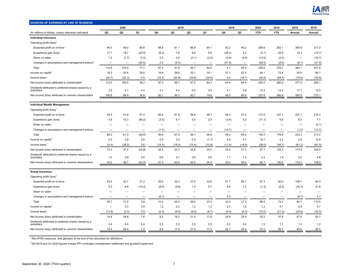

<span id="page-6-0"></span>

| SOURCES OF EARNINGS BY LINE OF BUSINESS                            |                          |                          |                          |                          |                          |                          |        |                          |                          |            |            |                          |        |
|--------------------------------------------------------------------|--------------------------|--------------------------|--------------------------|--------------------------|--------------------------|--------------------------|--------|--------------------------|--------------------------|------------|------------|--------------------------|--------|
|                                                                    |                          | 2020                     |                          |                          | 2019                     |                          |        | 2018                     |                          | 2020       | 2019       | 2019                     | 2018   |
| (In millions of dollars, unless otherwise indicated)               | Q <sub>3</sub>           | Q2                       | Q1                       | Q4                       | Q <sub>3</sub>           | Q <sub>2</sub>           | Q1     | Q4                       | Q <sub>3</sub>           | <b>YTD</b> | <b>YTD</b> | Annual                   | Annual |
| <b>Individual Insurance</b>                                        |                          |                          |                          |                          |                          |                          |        |                          |                          |            |            |                          |        |
| Operating profit (loss) <sup>1</sup>                               |                          |                          |                          |                          |                          |                          |        |                          |                          |            |            |                          |        |
| Expected profit on in-force                                        | 94.0                     | 90.0                     | 85.6                     | 88.8                     | 91.1                     | 86.9                     | 84.1   | 82.2                     | 80.2                     | 269.6      | 262.1      | 350.9                    | 317.2  |
| Experience gain (loss)                                             | 17.7                     | 19.7                     | (42.5)                   | (6.3)                    | 7.8                      | 8.9                      | 8.9    | (35.4)                   | 5.2                      | (5.1)      | 25.6       | 19.3                     | (10.7) |
| Strain on sales                                                    | 1.2                      | (7.7)                    | (7.4)                    | 2.5                      | 0.6                      | (0.1)                    | (3.0)  | (0.8)                    | (4.6)                    | (13.9)     | (2.5)      | $\overline{\phantom{a}}$ | (16.7) |
| Changes in assumptions and management actions <sup>2</sup>         |                          | $\overline{\phantom{a}}$ | (24.0)                   | 2.4                      | (8.5)                    |                          |        | (41.9)                   | $\overline{\phantom{a}}$ | (24.0)     | (8.5)      | (6.1)                    | (41.9) |
| Total                                                              | 112.9                    | 102.0                    | 11.7                     | 87.4                     | 91.0                     | 95.7                     | 90.0   | 4.1                      | 80.8                     | 226.6      | 276.7      | 364.1                    | 247.9  |
| Income on capital <sup>1</sup>                                     | 18.3                     | 20.8                     | 25.0                     | 19.8                     | 28.6                     | 25.1                     | 19.1   | 37.1                     | 22.4                     | 64.1       | 72.8       | 92.6                     | 90.1   |
| Income taxes <sup>1</sup>                                          | (20.7)                   | (22.3)                   | 2.5                      | (10.2)                   | (20.9)                   | (23.6)                   | (24.8) | 3.4                      | (18.7)                   | (40.5)     | (69.3)     | (79.5)                   | (52.9) |
| Net income (loss) attributed to shareholders                       | 110.5                    | 100.5                    | 39.2                     | 97.0                     | 98.7                     | 97.2                     | 84.3   | 44.6                     | 84.5                     | 250.2      | 280.2      | 377.2                    | 285.1  |
| Dividends attributed to preferred shares issued by a<br>subsidiary | 3.9                      | 4.1                      | 4.4                      | 4.3                      | 4.4                      | 4.5                      | 4.5    | 4.1                      | 3.9                      | 12.4       | 13.4       | 17.7                     | 15.0   |
| Net income (loss) attributed to common shareholders                | 106.6                    | 96.4                     | 34.8                     | 92.7                     | 94.3                     | 92.7                     | 79.8   | 40.5                     | 80.6                     | 237.8      | 266.8      | 359.5                    | 270.1  |
|                                                                    |                          |                          |                          |                          |                          |                          |        |                          |                          |            |            |                          |        |
| <b>Individual Wealth Management</b>                                |                          |                          |                          |                          |                          |                          |        |                          |                          |            |            |                          |        |
| Operating profit (loss) <sup>1</sup>                               |                          |                          |                          |                          |                          |                          |        |                          |                          |            |            |                          |        |
| Expected profit on in-force                                        | 64.5                     | 51.6                     | 57.4                     | 60.6                     | 61.8                     | 58.6                     | 46.7   | 56.3                     | 57.2                     | 173.5      | 167.1      | 227.7                    | 219.3  |
| Experience gain (loss)                                             | 4.8                      | 10.3                     | (86.2)                   | (3.0)                    | 6.1                      | 0.5                      | 2.9    | (3.4)                    | 8.2                      | (71.1)     | 9.5        | 6.5                      | 7.7    |
| Strain on sales                                                    |                          |                          | $\overline{\phantom{0}}$ | $\overline{\phantom{0}}$ |                          |                          |        | $\overline{\phantom{0}}$ | $\overline{\phantom{0}}$ |            |            |                          | (0.1)  |
| Changes in assumptions and management actions                      |                          |                          |                          | (1.0)                    |                          | $\overline{\phantom{0}}$ |        | (13.7)                   |                          |            |            | (1.0)                    | (13.7) |
| Total                                                              | 69.3                     | 61.9                     | (28.8)                   | 56.6                     | 67.9                     | 59.1                     | 49.6   | 39.2                     | 65.4                     | 102.4      | 176.6      | 233.2                    | 213.2  |
| Income on capital                                                  | 4.3                      | 3.8                      | 2.6                      | 0.4                      | 3.2                      | 0.9                      | (1.7)  | 6.9                      | 4.7                      | 10.7       | 2.4        | 2.8                      | 12.8   |
| Income taxes <sup>1</sup>                                          | (0.4)                    | (28.2)                   | 2.6                      | (14.5)                   | (18.4)                   | (15.4)                   | (12.9) | (11.5)                   | (18.9)                   | (26.0)     | (46.7)     | (61.2)                   | (61.5) |
| Net income (loss) attributed to shareholders                       | 73.2                     | 37.5                     | (23.6)                   | 42.5                     | 52.7                     | 44.6                     | 35.0   | 34.6                     | 51.2                     | 87.1       | 132.3      | 174.8                    | 164.5  |
| Dividends attributed to preferred shares issued by a<br>subsidiary | 1.0                      | 0.8                      | 0.6                      | 0.6                      | 0.7                      | 0.6                      | 0.6    | 1.1                      | 1.2                      | 2.4        | 1.9        | 2.5                      | 4.6    |
| Net income (loss) attributed to common shareholders                | 72.2                     | 36.7                     | (24.2)                   | 41.9                     | 52.0                     | 44.0                     | 34.4   | 33.5                     | 50.0                     | 84.7       | 130.4      | 172.3                    | 159.9  |
|                                                                    |                          |                          |                          |                          |                          |                          |        |                          |                          |            |            |                          |        |
| <b>Group Insurance</b>                                             |                          |                          |                          |                          |                          |                          |        |                          |                          |            |            |                          |        |
| Operating profit (loss) <sup>1</sup>                               |                          |                          |                          |                          |                          |                          |        |                          |                          |            |            |                          |        |
| Expected profit on in-force                                        | 23.4                     | 22.7                     | 21.2                     | 25.6                     | 32.3                     | 27.6                     | 22.6   | 21.7                     | 26.1                     | 67.3       | 82.5       | 108.1                    | 84.4   |
| Experience gain (loss)                                             | 5.3                      | 8.8                      | (15.4)                   | (8.5)                    | (9.9)                    | 1.0                      | 0.7    | 6.0                      | 1.2                      | (1.3)      | (8.2)      | (16.7)                   | 21.8   |
| Strain on sales                                                    | $\overline{\phantom{0}}$ |                          |                          |                          | $\overline{\phantom{0}}$ | $\overline{\phantom{0}}$ |        | $\overline{\phantom{0}}$ | —                        |            |            | $\qquad \qquad -$        |        |
| Changes in assumptions and management actions                      |                          |                          | $\overline{\phantom{0}}$ | (6.7)                    | —                        | $\overline{\phantom{0}}$ |        | 4.3                      |                          |            |            | (6.7)                    | 4.3    |
| Total                                                              | 28.7                     | 31.5                     | 5.8                      | 10.4                     | 22.4                     | 28.6                     | 23.3   | 32.0                     | 27.3                     | 66.0       | 74.3       | 84.7                     | 110.5  |
| Income on capital                                                  | $\overline{\phantom{0}}$ | 0.3                      | 0.9                      | 1.2                      | 2.3                      | 1.2                      | 1.2    | 2.5                      | 1.6                      | 1.2        | 4.7        | 5.9                      | 5.7    |
| Income taxes <sup>1</sup>                                          | (13.9)                   | (2.0)                    | 0.9                      | (2.4)                    | (6.5)                    | (8.0)                    | (6.7)  | (9.6)                    | (8.0)                    | (15.0)     | (21.2)     | (23.6)                   | (32.5) |
| Net income (loss) attributed to shareholders                       | 14.8                     | 29.8                     | 7.6                      | 9.2                      | 18.2                     | 21.8                     | 17.8   | 24.9                     | 20.9                     | 52.2       | 57.8       | 67.0                     | 83.7   |
| Dividends attributed to preferred shares issued by a<br>subsidiary | 0.4                      | 0.4                      | 0.4                      | 0.3                      | 0.3                      | 0.3                      | 0.5    | 0.2                      | 0.4                      | 1.2        | 1.1        | 1.4                      | 1.2    |
| Net income (loss) attributed to common shareholders                | 14.4                     | 29.4                     | 7.2                      | 8.9                      | 17.9                     | 21.5                     | 17.3   | 24.7                     | 20.5                     | 51.0       | 56.7       | 65.6                     | 82.5   |

 $2$ Q3-2019 and Q1-2020 figures include PPI contingent consideration settlement and goodwill impairment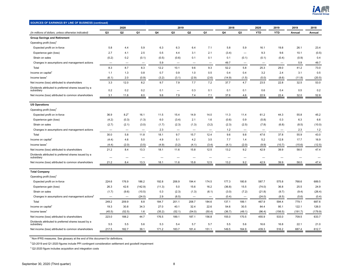

| SOURCES OF EARNINGS BY LINE OF BUSINESS (continued)                |                          |                          |                          |        |                   |                          |                   |                |                          |                          |                          |         |         |
|--------------------------------------------------------------------|--------------------------|--------------------------|--------------------------|--------|-------------------|--------------------------|-------------------|----------------|--------------------------|--------------------------|--------------------------|---------|---------|
|                                                                    |                          | 2020                     |                          |        | 2019              |                          |                   | 2018           |                          | 2020                     | 2019                     | 2019    | 2018    |
| (In millions of dollars, unless otherwise indicated)               | Q3                       | Q <sub>2</sub>           | Q1                       | Q4     | Q <sub>3</sub>    | Q <sub>2</sub>           | Q1                | Q <sub>4</sub> | Q <sub>3</sub>           | <b>YTD</b>               | <b>YTD</b>               | Annual  | Annual  |
| <b>Group Savings and Retirement</b>                                |                          |                          |                          |        |                   |                          |                   |                |                          |                          |                          |         |         |
| Operating profit (loss) <sup>1</sup>                               |                          |                          |                          |        |                   |                          |                   |                |                          |                          |                          |         |         |
| Expected profit on in-force                                        | 5.8                      | 4.4                      | 5.9                      | 6.3    | 6.3               | 6.4                      | 7.1               | 5.8            | 5.9                      | 16.1                     | 19.8                     | 26.1    | 23.4    |
| Experience gain (loss)                                             | 2.7                      | 4.1                      | 2.5                      | 0.5    | 4.4               | 3.1                      | 2.1               | (3.4)          |                          | 9.3                      | 9.6                      | 10.1    | (0.5)   |
| Strain on sales                                                    | (0.2)                    | 0.2                      | (0.1)                    | (0.5)  | (0.6)             | 0.1                      | 0.1               | 0.1            | (0.1)                    | (0.1)                    | (0.4)                    | (0.9)   | 0.4     |
| Changes in assumptions and management actions                      | $\overline{\phantom{0}}$ | $\overline{\phantom{0}}$ | $\overline{\phantom{0}}$ | 5.9    |                   |                          |                   | 49.7           | $\overline{\phantom{0}}$ | $\overline{\phantom{0}}$ | $\overline{\phantom{a}}$ | 5.9     | 49.7    |
| Total                                                              | 8.3                      | 8.7                      | 8.3                      | 12.2   | 10.1              | 9.6                      | 9.3               | 52.2           | 5.8                      | 25.3                     | 29.0                     | 41.2    | 73.0    |
| Income on capital                                                  | 1.1                      | 1.3                      | 0.8                      | 0.7    | 0.9               | 1.0                      | 0.5               | 0.4            | 0.4                      | 3.2                      | 2.4                      | 3.1     | 0.5     |
| Income taxes                                                       | (6.1)                    | 2.0                      | (0.9)                    | (3.2)  | (3.1)             | (2.9)                    | (2.6)             | (14.9)         | (1.5)                    | (5.0)                    | (8.6)                    | (11.8)  | (20.5)  |
| Net income (loss) attributed to shareholders                       | 3.3                      | 12.0                     | 8.2                      | 9.7    | 7.9               | 7.7                      | 7.2               | 37.7           | 4.7                      | 23.5                     | 22.8                     | 32.5    | 53.0    |
| Dividends attributed to preferred shares issued by a<br>subsidiary | 0.2                      | 0.2                      | 0.2                      | 0.1    |                   | 0.3                      | 0.1               | 0.1            | 0.1                      | 0.6                      | 0.4                      | 0.5     | 0.2     |
| Net income (loss) attributed to common shareholders                | 3.1                      | 11.8                     | 8.0                      | 9.6    | 7.9               | 7.4                      | 7.1               | 37.6           | 4.6                      | 22.9                     | 22.4                     | 32.0    | 52.8    |
|                                                                    |                          |                          |                          |        |                   |                          |                   |                |                          |                          |                          |         |         |
| <b>US Operations</b>                                               |                          |                          |                          |        |                   |                          |                   |                |                          |                          |                          |         |         |
| Operating profit (loss) <sup>1</sup>                               |                          |                          |                          |        |                   |                          |                   |                |                          |                          |                          |         |         |
| Expected profit on in-force                                        | 36.9                     | $8.2^{3}$                | 16.1                     | 11.5   | 15.4              | 14.9                     | 14.0              | 11.3           | 11.4                     | 61.2                     | 44.3                     | 55.8    | 45.2    |
| Experience gain (loss)                                             | (4.2)                    | (0.3)                    | (1.3)                    | 6.0    | (3.4)             | 2.1                      | 1.6               | (0.6)          | 0.9                      | (5.8)                    | 0.3                      | 6.3     | 6.6     |
| Strain on sales                                                    | (2.7)                    | (2.1)                    | (3.0)                    | (1.7)  | (2.3)             | (1.3)                    | (3.2)             | (2.3)          | (2.5)                    | (7.8)                    | (6.8)                    | (8.5)   | (10.0)  |
| Changes in assumptions and management actions                      | $\overline{\phantom{0}}$ | $\overline{\phantom{0}}$ |                          | 2.3    | $\qquad \qquad -$ | $\overline{\phantom{m}}$ | $\qquad \qquad -$ | $1.2$          |                          | $\qquad \qquad -$        |                          | 2.3     | 1.2     |
| Total                                                              | 30.0                     | 5.8                      | 11.8                     | 18.1   | 9.7               | 15.7                     | 12.4              | 9.6            | 9.8                      | 47.6                     | 37.8                     | 55.9    | 43.0    |
| Income on capital                                                  | (4.4)                    | 4.6                      | 5.0                      | 4.9    | 5.1               | 4.2                      | 3.5               | 7.7            | 1.4                      | 5.2                      | 12.8                     | 17.7    | 16.9    |
| Income taxes                                                       | (4.4)                    | (2.0)                    | (3.5)                    | (4.9)  | (3.2)             | (4.1)                    | (3.4)             | (4.1)          | (2.0)                    | (9.9)                    | (10.7)                   | (15.6)  | (12.5)  |
| Net income (loss) attributed to shareholders                       | 21.2                     | 8.4                      | 13.3                     | 18.1   | 11.6              | 15.8                     | 12.5              | 13.2           | 9.2                      | 42.9                     | 39.9                     | 58.0    | 47.4    |
| Dividends attributed to preferred shares issued by a<br>subsidiary |                          |                          |                          |        |                   |                          |                   |                |                          |                          |                          |         |         |
| Net income (loss) attributed to common shareholders                | 21.2                     | 8.4                      | 13.3                     | 18.1   | 11.6              | 15.8                     | 12.5              | 13.2           | 9.2                      | 42.9                     | 39.9                     | 58.0    | 47.4    |
| <b>Total Company</b>                                               |                          |                          |                          |        |                   |                          |                   |                |                          |                          |                          |         |         |
| Operating profit (loss) <sup>1</sup>                               |                          |                          |                          |        |                   |                          |                   |                |                          |                          |                          |         |         |
| Expected profit on in-force                                        | 224.6                    | 176.9                    | 186.2                    | 192.8  | 206.9             | 194.4                    | 174.5             | 177.3          | 180.8                    | 587.7                    | 575.8                    | 768.6   | 689.5   |
| Experience gain (loss)                                             | 26.3                     | 42.6                     | (142.9)                  | (11.3) | 5.0               | 15.6                     | 16.2              | (36.8)         | 15.5                     | (74.0)                   | 36.8                     | 25.5    | 24.9    |
| Strain on sales                                                    | (1.7)                    | (9.6)                    | (10.5)                   | 0.3    | (2.3)             | (1.3)                    | (6.1)             | (3.0)          | (7.2)                    | (21.8)                   | (9.7)                    | (9.4)   | (26.4)  |
| Changes in assumptions and management actions <sup>4</sup>         | $\overline{\phantom{0}}$ | $\overline{\phantom{0}}$ | (24.0)                   | 2.9    | (8.5)             | $\overline{\phantom{0}}$ | $\qquad \qquad -$ | (0.4)          |                          | (24.0)                   | (8.5)                    | (5.6)   | (0.4)   |
| Total                                                              | 249.2                    | 209.9                    | 8.8                      | 184.7  | 201.1             | 208.7                    | 184.6             | 137.1          | 189.1                    | 467.9                    | 594.4                    | 779.1   | 687.6   |
| Income on capital                                                  | 19.3                     | 30.8                     | 34.3                     | 27.0   | 40.1              | 32.4                     | 22.6              | 54.6           | 30.5                     | 84.4                     | 95.1                     | 122.1   | 126.0   |
| Income taxes                                                       | (45.5)                   | (52.5)                   | 1.6                      | (35.2) | (52.1)            | (54.0)                   | (50.4)            | (36.7)         | (49.1)                   | (96.4)                   | (156.5)                  | (191.7) | (179.9) |
| Net income (loss) attributed to shareholders                       | 223.0                    | 188.2                    | 44.7                     | 176.5  | 189.1             | 187.1                    | 156.8             | 155.0          | 170.5                    | 455.9                    | 533.0                    | 709.5   | 633.7   |
| Dividends attributed to preferred shares issued by a<br>subsidiary | 5.5                      | 5.5                      | 5.6                      | 5.3    | 5.4               | 5.7                      | 5.7               | 5.5            | 5.6                      | 16.6                     | 16.8                     | 22.1    | 21.0    |
| Net income (loss) attributed to common shareholders                | 217.5                    | 182.7                    | 39.1                     | 171.2  | 183.7             | 181.4                    | 151.1             | 149.5          | 164.9                    | 439.3                    | 516.2                    | 687.4   | 612.7   |

 $2$ Q3-2019 and Q1-2020 figures include PPI contingent consideration settlement and goodwill impairment

 $3$  Q2-2020 figure includes acquisition and integration costs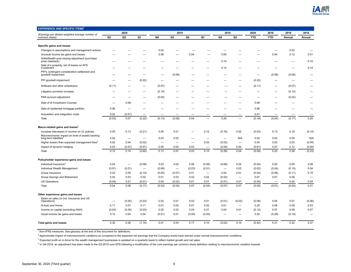<span id="page-8-0"></span>

| <b>EXPERIENCE AND SPECIFIC ITEMS<sup>1</sup></b>                                      |        |                          |                          |                          |                |                |                          |                          |                                 |            |                          |        |        |
|---------------------------------------------------------------------------------------|--------|--------------------------|--------------------------|--------------------------|----------------|----------------|--------------------------|--------------------------|---------------------------------|------------|--------------------------|--------|--------|
| (Earnings per diluted weighted average number of                                      |        | 2020                     |                          |                          | 2019           |                |                          | 2018                     |                                 | 2020       | 2019                     | 2019   | 2018   |
| common share)                                                                         | Q3     | Q <sub>2</sub>           | Q1                       | Q4                       | Q <sub>3</sub> | Q <sub>2</sub> | Q1                       | Q4                       | Q <sub>3</sub>                  | <b>YTD</b> | <b>YTD</b>               | Annual | Annual |
|                                                                                       |        |                          |                          |                          |                |                |                          |                          |                                 |            |                          |        |        |
| Specific gains and losses<br>Changes in assumptions and management actions            |        |                          |                          | 0.02                     |                |                |                          | -                        |                                 |            |                          | 0.02   |        |
| Unusual income tax gains and losses                                                   |        |                          |                          | 0.08                     |                | 0.04           |                          | 0.05                     |                                 |            | 0.04                     | 0.12   | 0.01   |
| HollisWealth post closing adjustment (purchase                                        |        |                          |                          |                          |                |                |                          |                          |                                 |            |                          |        |        |
| price clawback)                                                                       |        |                          |                          |                          |                |                |                          | 0.10                     |                                 |            |                          |        | 0.10   |
| Sale of a property, net of losses on AFS<br>investment                                |        |                          |                          |                          |                |                |                          | 0.14                     |                                 |            |                          |        | 0.14   |
| PPI's contingent consideration settlement and<br>goodwill impairment                  |        |                          |                          |                          | (0.08)         | -              |                          |                          |                                 |            | (0.08)                   | (0.08) |        |
| PPI goodwill impairment                                                               |        |                          | (0.22)                   |                          |                |                |                          |                          |                                 | (0.22)     |                          |        |        |
| Software and other writedowns                                                         | (0.11) |                          |                          | (0.07)                   |                |                |                          |                          |                                 | (0.11)     | -                        | (0.07) |        |
| Litigation provision increase                                                         |        |                          |                          | (0.14)                   |                |                |                          |                          |                                 |            |                          | (0.14) |        |
| PAR account adjustment                                                                |        |                          |                          | (0.02)                   |                |                |                          |                          |                                 | -          |                          | (0.02) |        |
| Sale of iA Investment Counsel                                                         |        | 0.08                     |                          |                          |                |                |                          |                          |                                 | 0.08       |                          |        |        |
| Sale of residential mortgage portfolio                                                | 0.06   | -                        |                          |                          |                |                |                          |                          |                                 | 0.06       |                          |        |        |
| Acquisition and integration costs                                                     | 0.02   | (0.01)                   |                          |                          |                |                |                          |                          |                                 | 0.01       |                          |        |        |
| Total                                                                                 | (0.03) | 0.07                     | (0.22)                   | (0.13)                   | (0.08)         | 0.04           |                          | 0.29                     | $\overline{\phantom{0}}$        | (0.18)     | (0.04)                   | (0.17) | 0.25   |
| Macro-related gains and losses <sup>2</sup>                                           |        |                          |                          |                          |                |                |                          |                          |                                 |            |                          |        |        |
| Increase (decrease) in income on UL policies                                          | 0.05   | 0.13                     | (0.21)                   | 0.05                     | 0.01           |                | 0.12                     | (0.16)                   | 0.02                            | (0.03)     | 0.13                     | 0.18   | (0.14) |
| Macroeconomic impact on level of assets backing<br>long-term liabilities <sup>3</sup> | 0.02   | $\overline{\phantom{0}}$ |                          | 0.03                     | 0.02           |                |                          | —                        | N/A                             | 0.02       | 0.02                     | 0.05   | N/A    |
| Higher (lower) than expected management fees <sup>3</sup>                             | 0.02   | 0.04                     | (0.02)                   | $\overline{\phantom{0}}$ |                |                | 0.03                     | (0.03)                   | $\qquad \qquad -$               | 0.04       | 0.03                     | 0.03   | (0.04) |
| Impact of dynamic hedging                                                             | 0.03   | (0.07)                   | (0.57)                   | 0.05                     | 0.04           | 0.03           | $\overline{\phantom{0}}$ | (0.09)                   | 0.02                            | (0.61)     | 0.07                     | 0.12   | (0.05) |
| Total                                                                                 | 0.12   | 0.10                     | (0.80)                   | 0.13                     | 0.07           | 0.03           | 0.15                     | (0.28)                   | 0.04                            | (0.58)     | 0.25                     | 0.38   | (0.23) |
|                                                                                       |        |                          |                          |                          |                |                |                          |                          |                                 |            |                          |        |        |
| Policyholder experience gains and losses                                              |        |                          |                          |                          |                |                |                          |                          |                                 |            |                          |        |        |
| Individual Insurance <sup>4</sup>                                                     | 0.04   | $\overline{\phantom{m}}$ | (0.08)                   | 0.03                     | 0.02           | 0.06           | (0.06)                   | (0.08)                   | 0.02                            | (0.04)     | 0.02                     | 0.05   | 0.08   |
| Individual Wealth Management                                                          | (0.01) | (0.01)                   | $\overline{\phantom{0}}$ | (0.06)                   |                | (0.03)         | (0.01)                   |                          | 0.03                            | (0.02)     | (0.04)                   | (0.10) | 0.04   |
| Group Insurance                                                                       | 0.03   | 0.05                     | (0.10)                   | (0.05)                   | (0.07)         | 0.01           |                          | 0.04                     | 0.01                            | (0.02)     | (0.06)                   | (0.11) | 0.15   |
| Group Savings and Retirement                                                          | 0.02   | 0.03                     | 0.02                     | 0.01                     | 0.03           | 0.02           | 0.02                     | (0.02)                   | $\overbrace{\phantom{1232211}}$ | 0.07       | 0.07                     | 0.08   |        |
| <b>US Operations</b>                                                                  | (0.04) | 0.01                     | (0.01)                   | 0.04                     | (0.02)         | 0.01           | 0.01                     | (0.01)                   | 0.01                            | (0.04)     | $\overline{\phantom{0}}$ | 0.04   | 0.04   |
| Total                                                                                 | 0.04   | 0.08                     | (0.17)                   | (0.03)                   | (0.04)         | 0.07           | (0.04)                   | (0.07)                   | 0.07                            | (0.05)     | (0.01)                   | (0.04) | 0.31   |
| Other experience gains and losses                                                     |        |                          |                          |                          |                |                |                          |                          |                                 |            |                          |        |        |
| Strain on sales (in Ind. Insurance and US                                             |        |                          |                          |                          |                |                |                          |                          |                                 |            |                          |        |        |
| Operations)                                                                           |        | (0.05)                   | (0.03)                   | 0.02                     | 0.01           | 0.03           | 0.01                     | (0.01)                   | (0.02)                          | (0.08)     | 0.05                     | 0.07   | (0.06) |
| iA Auto and Home                                                                      | 0.11   | 0.07                     | 0.11                     | 0.01                     | 0.05           | 0.01           | 0.02                     | 0.01                     | $\qquad \qquad -$               | 0.29       | 0.08                     | 0.09   | 0.03   |
| Income on capital (excluding iAAH)                                                    | (0.04) | (0.05)                   | (0.03)                   | 0.02                     | 0.02           | 0.04           | 0.01                     | 0.04                     | 0.01                            | (0.12)     | 0.07                     | 0.09   | 0.07   |
| Usual income tax gains and losses                                                     | 0.12   | 0.04                     | 0.04                     | (0.01)                   | 0.01           | (0.05)         | (0.05)                   | $\overline{\phantom{0}}$ | $\overline{\phantom{0}}$        | 0.20       | (0.09)                   | (0.10) |        |
| <b>Total gains and losses</b>                                                         | 0.32   | 0.26                     | (1.10)                   | 0.01                     | 0.04           | 0.17           | 0.10                     | (0.02)                   | 0.10                            | (0.52)     | 0.31                     | 0.32   | 0.37   |
|                                                                                       |        |                          |                          |                          |                |                |                          |                          |                                 |            |                          |        |        |

<sup>2</sup> Approximate impact of macroeconomic variations as compared to the expected net earnings that the Company would have earned under normal macroeconomic conditions.

 $^3$  Expected profit on in-force for the wealth management businesses is updated on a quarterly basis to reflect market growth and net sales.

<sup>4</sup> In Q4-2019, an adjustment has been made to the Q3-2019 core EPS following a modification of the core earnings per common share definition relating to macroeconomic variation impacts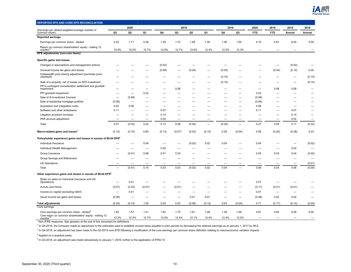

<span id="page-9-0"></span>

| REPORTED EPS AND CORE EPS RECONCILIATION                                                                          |                          |                                 |                          |                          |                          |                          |                          |        |                          |            |                          |                          |                          |
|-------------------------------------------------------------------------------------------------------------------|--------------------------|---------------------------------|--------------------------|--------------------------|--------------------------|--------------------------|--------------------------|--------|--------------------------|------------|--------------------------|--------------------------|--------------------------|
|                                                                                                                   |                          | 2020                            |                          |                          | 2019                     |                          |                          | 2018   |                          | 2020       | 2019                     | 2019                     | 2018                     |
| (Earnings per diluted weighted average number of<br>common share)                                                 | Q3                       | Q2                              | Q1                       | Q4                       | Q <sub>3</sub>           | Q <sub>2</sub>           | Q1                       | Q4     | Q3                       | <b>YTD</b> | <b>YTD</b>               | Annual                   | Annual                   |
| <b>Reported earnings</b>                                                                                          |                          |                                 |                          |                          |                          |                          |                          |        |                          |            |                          |                          |                          |
| Earnings per common share - diluted                                                                               | 2.03                     | 1.71                            | 0.36                     | 1.59                     | 1.72                     | 1.69                     | 1.40                     | 1.36   | 1.50                     | 4.10       | 4.81                     | 6.40                     | 5.59                     |
| Return on common shareholders' equity - trailing 12<br>months <sup>1</sup>                                        | 10.9%                    | 10.5%                           | 10.7%                    | 12.9%                    | 12.7%                    | 12.6%                    | 12.4%                    | 12.5%  | 12.3%                    |            |                          |                          | $\overline{\phantom{0}}$ |
| EPS adjustments (non-core items)                                                                                  |                          |                                 |                          |                          |                          |                          |                          |        |                          |            |                          |                          |                          |
| Specific gains and losses                                                                                         |                          |                                 |                          |                          |                          |                          |                          |        |                          |            |                          |                          |                          |
| Changes in assumptions and management actions                                                                     |                          |                                 |                          | (0.02)                   |                          |                          |                          |        |                          |            |                          | (0.02)                   | $\overline{\phantom{0}}$ |
| Unusual income tax gains and losses                                                                               |                          |                                 |                          | (0.08)                   | $\overline{\phantom{0}}$ | (0.04)                   | -                        | (0.05) |                          |            | (0.04)                   | (0.12)                   | 0.02                     |
| Holliswealth post closing adjustment (purchase price<br>clawback)                                                 |                          |                                 |                          |                          |                          |                          |                          | (0.10) |                          |            |                          | $\overline{\phantom{0}}$ | (0.10)                   |
| Sale of a property, net of losses on AFS investment                                                               |                          |                                 |                          |                          |                          |                          |                          | (0.14) |                          |            |                          | -                        | (0.14)                   |
| PPI's contingent consideration settlement and goodwill<br>impairment                                              |                          |                                 |                          |                          | 0.08                     |                          |                          |        |                          | -          | 0.08                     | 0.08                     |                          |
| PPI goodwill impairment                                                                                           |                          | $\overline{\phantom{0}}$        | 0.22                     | $\overline{\phantom{0}}$ |                          |                          |                          |        | $\overline{\phantom{0}}$ | 0.22       |                          | $\overline{\phantom{0}}$ |                          |
| Sale of iA Investment Counsel                                                                                     | $\overline{\phantom{0}}$ | (0.08)                          | -                        |                          |                          |                          |                          |        |                          | (0.08)     |                          |                          |                          |
| Sale of residential mortgage portfolio                                                                            | (0.06)                   | $\overbrace{\phantom{1232211}}$ |                          |                          |                          |                          |                          |        | $\overline{\phantom{0}}$ | (0.06)     |                          | —                        | $\overline{\phantom{0}}$ |
| Acquisition and integration costs                                                                                 | 0.02                     | 0.06                            | -                        | -                        | -                        |                          |                          |        |                          | 0.08       |                          |                          | -                        |
| Software and other writedowns                                                                                     | 0.11                     |                                 |                          | 0.07                     |                          |                          |                          |        |                          | 0.11       |                          | 0.07                     |                          |
| Litigation provision increase                                                                                     |                          |                                 | $\overline{\phantom{m}}$ | 0.14                     | $\overline{\phantom{0}}$ | $\overline{\phantom{0}}$ |                          |        | -                        |            |                          | 0.14                     |                          |
| PAR account adjustment                                                                                            | $\overline{\phantom{0}}$ | $\overline{\phantom{0}}$        |                          | 0.02                     | $\overline{\phantom{0}}$ | $\overline{\phantom{0}}$ | $\overline{\phantom{0}}$ |        |                          |            |                          | 0.02                     | $\overline{\phantom{0}}$ |
| Total                                                                                                             | 0.07                     | (0.02)                          | 0.22                     | 0.13                     | 0.08                     | (0.04)                   | $\overline{\phantom{0}}$ | (0.29) | $\equiv$                 | 0.27       | 0.04                     | 0.17                     | (0.22)                   |
| Macro-related gains and losses <sup>3</sup>                                                                       | (0.12)                   | (0.10)                          | 0.80                     | (0.13)                   | (0.07)                   | (0.03)                   | (0.15)                   | 0.28   | (0.04)                   | 0.58       | (0.25)                   | (0.38)                   | 0.23                     |
| Policyholder experience gains and losses in excess of \$0.04 EPS <sup>4</sup>                                     |                          |                                 |                          |                          |                          |                          |                          |        |                          |            |                          |                          |                          |
| Individual Insurance                                                                                              |                          | -                               | 0.04                     |                          | -                        | (0.02)                   | 0.02                     | 0.04   |                          | 0.04       |                          | —                        | (0.02)                   |
| Individual Wealth Management                                                                                      |                          | $\overline{\phantom{0}}$        |                          | 0.02                     | $\overline{\phantom{0}}$ |                          |                          |        |                          |            |                          | 0.02                     | $\overline{\phantom{0}}$ |
| Group Insurance                                                                                                   |                          | (0.01)                          | 0.06                     | 0.01                     | 0.03                     |                          |                          |        |                          | 0.05       | 0.03                     | 0.04                     | (0.02)                   |
| Group Savings and Retirement                                                                                      |                          |                                 |                          |                          |                          |                          |                          |        |                          |            |                          |                          | $\overline{\phantom{0}}$ |
| <b>US Operations</b>                                                                                              | -                        | -                               | -                        | $\overline{\phantom{0}}$ | $\overline{\phantom{0}}$ | $\overline{\phantom{0}}$ |                          |        |                          |            |                          | -                        | (0.01)                   |
| Total                                                                                                             | $\overline{\phantom{0}}$ | (0.01)                          | 0.10                     | 0.03                     | 0.03                     | (0.02)                   | 0.02                     | 0.04   |                          | 0.09       | 0.03                     | 0.06                     | (0.05)                   |
| Other experience gains and losses in excess of \$0.04 EPS <sup>4</sup>                                            |                          |                                 |                          |                          |                          |                          |                          |        |                          |            |                          |                          |                          |
| Strain on sales (in Individual Insurance and US<br>Operations)                                                    |                          | 0.01                            | $\overline{\phantom{0}}$ |                          | -                        |                          |                          |        |                          | 0.01       |                          | —                        |                          |
| iA Auto and Home                                                                                                  | (0.07)                   | (0.03)                          | (0.07)                   |                          | (0.01)                   |                          |                          |        |                          | (0.17)     | (0.01)                   | (0.01)                   |                          |
| Income on capital (excluding iAAH)                                                                                |                          | 0.01                            | $\overline{\phantom{0}}$ |                          | $\overline{\phantom{0}}$ | $\overline{\phantom{0}}$ |                          |        |                          | 0.01       | $\overline{\phantom{0}}$ |                          |                          |
| Usual income tax gains and losses                                                                                 | (0.08)                   |                                 |                          |                          | -                        | 0.01                     | 0.01                     |        |                          | (0.08)     | 0.02                     | 0.02                     |                          |
| <b>Total adjustments</b>                                                                                          | (0.20)                   | (0.14)                          | 1.05                     | 0.03                     | 0.03                     | (0.08)                   | (0.12)                   | 0.03   | (0.04)                   | 0.71       | (0.17)                   | (0.14)                   | (0.04)                   |
| Core earnings                                                                                                     |                          |                                 |                          |                          |                          |                          |                          |        |                          |            |                          |                          |                          |
| Core earnings per common share - diluted <sup>3</sup><br>Core return on common shareholders' equity - trailing 12 | 1.83                     | 1.57                            | 1.41                     | 1.62                     | 1.75                     | 1.61                     | 1.28                     | 1.39   | 1.46                     | 4.81       | 4.64                     | 6.26                     | 5.55                     |
| months <sup>2</sup>                                                                                               | 12.3%                    | 12.4%                           | 12.7%                    | 12.6%                    | 12.4%                    | 12.1%                    | 12.0%                    | 12.4%  | 12.2%                    |            |                          |                          |                          |

 $^2$  In Q4-2018, the Company made an adjustment to the estimates used to establish income taxes payable in prior periods by decreasing the retained earnings as at January 1, 2017 by 58 \$.

 $3$  In Q4-2019, an adjustment has been made to the Q3-2019 core EPS following a modification of the core earnings per common share definition relating to macroeconomic variation impacts

<sup>4</sup> Applied on a quarterly basis.

<sup>5</sup> In Q3-2018, an adjustment was made retroactively to January 1, 2018, further to the application of IFRS-15.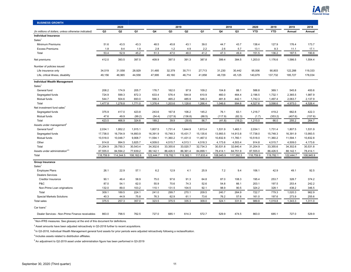

<span id="page-10-0"></span>

| <b>BUSINESS GROWTH</b>                               |           |                |           |                |                |                |           |           |                |            |            |           |           |
|------------------------------------------------------|-----------|----------------|-----------|----------------|----------------|----------------|-----------|-----------|----------------|------------|------------|-----------|-----------|
|                                                      |           | 2020           |           |                |                | 2019           |           |           | 2018           | 2020       | 2019       | 2019      | 2018      |
| (In millions of dollars, unless otherwise indicated) | Q3        | Q <sub>2</sub> | Q1        | Q <sub>4</sub> | Q <sub>3</sub> | Q <sub>2</sub> | Q1        | Q4        | Q <sub>3</sub> | <b>YTD</b> | <b>YTD</b> | Annual    | Annual    |
| <b>Individual Insurance</b>                          |           |                |           |                |                |                |           |           |                |            |            |           |           |
| Sales <sup>1</sup>                                   |           |                |           |                |                |                |           |           |                |            |            |           |           |
| Minimum Premiums                                     | 51.6      | 43.5           | 43.3      | 48.5           | 45.8           | 43.1           | 39.0      | 44.7      | 43.7           | 138.4      | 127.9      | 176.4     | 173.7     |
| <b>Excess Premiums</b>                               | 1.8       | 9.4            | 1.9       | 2.8            | 1.2            | 4.9            | 2.2       | 2.6       | 5.7            | 13.1       | 8.3        | 11.1      | 17.1      |
| Total                                                | 53.4      | 52.9           | 45.2      | 51.3           | 47.0           | 48.0           | 41.2      | 47.3      | 49.4           | 151.5      | 136.2      | 187.5     | 190.8     |
| Net premiums                                         | 412.0     | 393.5          | 397.5     | 409.9          | 397.5          | 391.3          | 387.8     | 399.4     | 384.5          | 1,203.0    | 1,176.6    | 1,586.5   | 1,554.4   |
| Number of policies issued                            |           |                |           |                |                |                |           |           |                |            |            |           |           |
| Life insurance only                                  | 34,519    | 31,558         | 28,929    | 31,485         | 32,379         | 30,711         | 27,713    | 31,230    | 30,442         | 95,006     | 90,803     | 122,288   | 119,333   |
| Life, critical illness, disability                   | 49,156    | 46,965         | 44,558    | 47,995         | 49,160         | 46,714         | 41,858    | 46,729    | 45,125         | 140,679    | 137,732    | 185,727   | 178,034   |
| <b>Individual Wealth Management</b>                  |           |                |           |                |                |                |           |           |                |            |            |           |           |
| Sales <sup>1</sup>                                   |           |                |           |                |                |                |           |           |                |            |            |           |           |
| General fund                                         | 208.2     | 174.9          | 205.7     | 176.7          | 162.0          | 97.9           | 109.2     | 104.8     | 88.1           | 588.8      | 369.1      | 545.8     | 400.6     |
| Segregated funds                                     | 724.9     | 599.3          | 872.3     | 633.4          | 576.4          | 544.8          | 610.9     | 460.0     | 464.4          | 2,196.5    | 1,732.1    | 2,365.5   | 1,987.9   |
| Mutual funds                                         | 544.7     | 504.6          | 693.0     | 566.3          | 465.2          | 485.9          | 546.3     | 481.8     | 442.1          | 1,742.3    | 1,497.4    | 2,063.7   | 2,137.9   |
| Total                                                | 1,477.8   | 1,278.8        | 1,771.0   | 1,376.4        | 1,203.6        | 1,128.6        | 1,266.4   | 1,046.6   | 994.6          | 4,527.6    | 3,598.6    | 4,975.0   | 4,526.4   |
| Net investment fund sales <sup>1</sup>               |           |                |           |                |                |                |           |           |                |            |            |           |           |
| Segregated funds                                     | 375.9     | 417.0          | 423.8     | 243.6          | 167.8          | 106.2          | 145.2     | 76.1      | 63.1           | 1,216.7    | 419.2      | 662.8     | 422.3     |
| Mutual funds                                         | 47.6      | 49.9           | (99.2)    | (54.4)         | (127.9)        | (136.8)        | (88.5)    | (117.9)   | (82.3)         | (1.7)      | (353.2)    | (407.6)   | (157.6)   |
| Total                                                | 423.5     | 466.9          | 324.6     | 189.2          | 39.9           | (30.6)         | 56.7      | (41.8)    | (19.2)         | 1,215.0    | 66.0       | 255.2     | 264.7     |
| Assets under management                              |           |                |           |                |                |                |           |           |                |            |            |           |           |
| General fund <sup>3</sup>                            | 2,034.1   | 1,952.2        | 1,915.1   | 1,807.5        | 1,731.4        | 1,644.9        | 1,613.4   | 1,531.9   | 1,463.1        | 2,034.1    | 1,731.4    | 1,807.5   | 1,531.9   |
| Segregated funds                                     | 17,738.0  | 16,754.9       | 14,893.9  | 16,391.9       | 15,748.3       | 15,431.7       | 15,135.6  | 13,993.5  | 14,913.8       | 17,738.0   | 15,748.3   | 16,391.9  | 13,993.5  |
| Mutual funds                                         | 10,518.0  | 10,048.7       | 9,908.7   | 11,594.1       | 11,360.2       | 11,431.0       | 11,467.0  | 10,832.8  | 11,760.1       | 10,518.0   | 11,360.2   | 11,594.1  | 10,832.8  |
| Other                                                | 914.8     | 994.5          | 3,825.7   | 4,509.0        | 4,515.7        | 4,513.1        | 4,518.3   | 4,173.6   | 4,503.4        | 914.8      | 4,515.7    | 4,509.0   | 4,173.6   |
| Total                                                | 31.204.9  | 29,750.3       | 30,543.4  | 34,302.6       | 33,355.6       | 33,020.7       | 32,734.3  | 30,531.8  | 32,640.4       | 31,204.9   | 33,355.6   | 34,302.6  | 30,531.8  |
| Assets under administration <sup>45</sup>            | 87,555.0  | 84,594.2       | 77,639.2  | 88,142.1       | 86,426.5       | 86,361.4       | 84,899.1  | 78,414.1  | 84,751.9       | 87,555.0   | 86,426.5   | 88,142.1  | 78,414.1  |
| Total                                                | 118,759.9 | 114,344.5      | 108,182.6 | 122,444.7      | 119,782.1      | 119,382.1      | 117,633.4 | 108,945.9 | 117,392.3      | 118,759.9  | 119,782.1  | 122,444.7 | 108,945.9 |
| <b>Group Insurance</b>                               |           |                |           |                |                |                |           |           |                |            |            |           |           |
| Sales <sup>1</sup>                                   |           |                |           |                |                |                |           |           |                |            |            |           |           |
| <b>Employee Plans</b>                                | 26.1      | 22.9           | 57.1      | 6.2            | 12.9           | 4.1            | 25.9      | 7.2       | 9.4            | 106.1      | 42.9       | 49.1      | 92.5      |
| <b>Dealers Services</b>                              |           |                |           |                |                |                |           |           |                |            |            |           |           |
| Creditor Insurance                                   | 90.1      | 46.4           | 58.9      | 75.0           | 97.6           | 91.3           | 64.8      | 87.0      | 108.3          | 195.4      | 253.7      | 328.7     | 374.2     |
| P&C                                                  | 87.0      | 54.1           | 62.0      | 55.9           | 70.6           | 74.3           | 52.6      | 54.8      | 66.1           | 203.1      | 197.5      | 253.4     | 242.2     |
| Non-Prime Loan originations                          | 132.0     | 89.0           | 103.2     | 110.1          | 131.5          | 104.5          | 92.1      | 98.9      | 90.5           | 324.2      | 328.1      | 438.2     | 346.5     |
| Total                                                | 309.1     | 189.5          | 224.1     | 241.0          | 299.7          | 270.1          | 209.5     | 240.7     | 264.9          | 722.7      | 779.3      | 1,020.3   | 962.9     |
| <b>Special Markets Solutions</b>                     | 40.3      | 44.9           | 75.8      | 76.3           | 62.9           | 61.1           | 73.6      | 76.2      | 57.6           | 161.0      | 197.6      | 273.9     | 255.6     |
| <b>Total sales</b>                                   | 375.5     | 257.3          | 357.0     | 323.5          | 375.5          | 335.3          | 309.0     | 324.1     | 331.9          | 989.8      | 1,019.8    | 1,343.3   | 1,311.0   |
| Car Ioans <sup>1</sup>                               |           |                |           |                |                |                |           |           |                |            |            |           |           |
| Dealer Services - Non-Prime Finance receivables      | 863.0     | 798.5          | 762.5     | 727.0          | 685.1          | 614.3          | 572.7     | 529.9     | 474.5          | 863.0      | 685.1      | 727.0     | 529.9     |

<sup>2</sup> Asset amounts have been adjusted retroactively in Q3-2018 further to recent acquisitions.

<sup>3</sup> In Q3-2018, Individual Wealth Management general fund assets for prior periods were adjusted retroactively following a reclassification.

<sup>4</sup> Includes assets related to distribution affiliates.

<sup>5</sup> An adjustment to Q2-2019 asset under administration figure has been performed in Q3-2019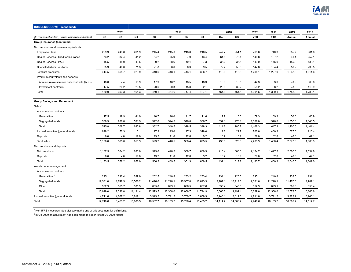

| <b>BUSINESS GROWTH (continued)</b>                   |          |                |          |          |                |                |          |          |                |            |            |          |          |
|------------------------------------------------------|----------|----------------|----------|----------|----------------|----------------|----------|----------|----------------|------------|------------|----------|----------|
|                                                      |          | 2020           |          |          |                | 2019           |          |          | 2018           | 2020       | 2019       | 2019     | 2018     |
| (In millions of dollars, unless otherwise indicated) | Q3       | Q <sub>2</sub> | Q1       | Q4       | Q <sub>3</sub> | Q <sub>2</sub> | Q1       | Q4       | Q <sub>3</sub> | <b>YTD</b> | <b>YTD</b> | Annual   | Annual   |
| Group Insurance (continued)                          |          |                |          |          |                |                |          |          |                |            |            |          |          |
| Net premiums and premium equivalents                 |          |                |          |          |                |                |          |          |                |            |            |          |          |
| <b>Employee Plans</b>                                | 259.9    | 243.8          | 261.9    | 245.4    | 245.0          | 248.8          | 246.5    | 247.7    | 251.1          | 765.6      | 740.3      | 985.7    | 981.6    |
| Dealer Services - Creditor Insurance                 | 73.2     | 32.4           | 41.2     | 54.2     | 75.9           | 67.9           | 43.4     | 64.5     | 75.4           | 146.8      | 187.2      | 241.4    | 257.1    |
| Dealer Services - P&C                                | 45.5     | 48.9           | 49.5     | 39.2     | 38.6           | 40.1           | 37.3     | 35.2     | 35.5           | 143.9      | 116.0      | 155.2    | 133.4    |
| <b>Special Markets Solutions</b>                     | 35.9     | 40.6           | 71.3     | 71.8     | 58.6           | 56.3           | 69.5     | 72.2     | 53.8           | 147.8      | 184.4      | 256.2    | 239.5    |
| Total net premiums                                   | 414.5    | 365.7          | 423.9    | 410.6    | 418.1          | 413.1          | 396.7    | 419.6    | 415.8          | 1,204.1    | 1,227.9    | 1,638.5  | 1,611.6  |
| Premium equivalents and deposits                     |          |                |          |          |                |                |          |          |                |            |            |          |          |
| Administrative services only contracts (ASO)         | 18.0     | 7.4            | 16.9     | 17.9     | 16.2           | 18.5           | 18.3     | 18.3     | 16.5           | 42.3       | 53.0       | 70.9     | 66.6     |
| Investment contracts                                 | 17.5     | 20.2           | 20.5     | 20.6     | 20.3           | 15.8           | 22.1     | 26.9     | 32.2           | 58.2       | 58.2       | 78.8     | 110.9    |
| Total                                                | 450.0    | 393.3          | 461.3    | 449.1    | 454.6          | 447.4          | 437.1    | 464.8    | 464.5          | 1,304.6    | 1,339.1    | 1,788.2  | 1,789.1  |
|                                                      |          |                |          |          |                |                |          |          |                |            |            |          |          |
| <b>Group Savings and Retirement</b>                  |          |                |          |          |                |                |          |          |                |            |            |          |          |
| Sales <sup>1</sup>                                   |          |                |          |          |                |                |          |          |                |            |            |          |          |
| Accumulation contracts                               |          |                |          |          |                |                |          |          |                |            |            |          |          |
| General fund                                         | 17.5     | 19.9           | 41.9     | 10.7     | 16.0           | 11.7           | 11.6     | 17.7     | 10.6           | 79.3       | 39.3       | 50.0     | 60.9     |
| Segregated funds                                     | 508.3    | 288.8          | 591.9    | 372.0    | 324.5          | 316.8          | 336.7    | 394.1    | 276.1          | 1,389.0    | 978.0      | 1,350.0  | 1,340.5  |
| Total                                                | 525.8    | 308.7          | 633.8    | 382.7    | 340.5          | 328.5          | 348.3    | 411.8    | 286.7          | 1,468.3    | 1,017.3    | 1,400.0  | 1,401.4  |
| Insured annuities (general fund)                     | 648.2    | 52.3           | 6.1      | 197.3    | 95.0           | 17.3           | 318.0    | 9.8      | 22.7           | 706.6      | 430.3      | 627.6    | 218.4    |
| Deposits                                             | 6.0      | 4.0            | 19.0     | 13.2     | 11.0           | 12.6           | 9.2      | 16.7     | 13.9           | 29.0       | 32.8       | 46.0     | 47.1     |
| <b>Total sales</b>                                   | 1.180.0  | 365.0          | 658.9    | 593.2    | 446.5          | 358.4          | 675.5    | 438.3    | 323.3          | 2,203.9    | 1,480.4    | 2,073.6  | 1,666.9  |
| Net premiums and deposits                            |          |                |          |          |                |                |          |          |                |            |            |          |          |
| Net premiums                                         | 1,167.5  | 354.2          | 633.0    | 573.0    | 428.5          | 338.7          | 660.3    | 415.4    | 303.3          | 2,154.7    | 1,427.5    | 2,000.5  | 1,594.9  |
| Deposits                                             | 6.0      | 4.0            | 19.0     | 13.2     | 11.0           | 12.6           | 9.2      | 16.7     | 13.9           | 29.0       | 32.8       | 46.0     | 47.1     |
| Total                                                | 1,173.5  | 358.2          | 652.0    | 586.2    | 439.5          | 351.3          | 669.5    | 432.1    | 317.2          | 2,183.7    | 1,460.3    | 2,046.5  | 1,642.0  |
| Assets under management                              |          |                |          |          |                |                |          |          |                |            |            |          |          |
| Accumulation contracts                               |          |                |          |          |                |                |          |          |                |            |            |          |          |
| General fund <sup>2</sup>                            | 295.1    | 290.4          | 289.9    | 232.5    | 240.8          | 233.2          | 233.4    | 231.1    | 226.3          | 295.1      | 240.8      | 232.5    | 231.1    |
| Segregated funds                                     | 12,381.0 | 11,749.9       | 10,566.2 | 11,476.0 | 11,228.1       | 10,957.0       | 10,623.9 | 9,787.1  | 10,119.8       | 12,381.0   | 11,228.1   | 11,476.0 | 9,787.1  |
| Other                                                | 352.9    | 355.7          | 335.3    | 865.0    | 899.1          | 896.5          | 887.6    | 850.4    | 845.3          | 352.9      | 899.1      | 865.0    | 850.4    |
| Total                                                | 13,029.0 | 12,396.0       | 11,191.4 | 12,573.5 | 12,368.0       | 12,086.7       | 11,744.9 | 10,868.6 | 11,191.4       | 13,029.0   | 12,368.0   | 12,573.5 | 10,868.6 |
| Insured annuities (general fund)                     | 4,711.6  | 4,067.2        | 3,817.1  | 3,929.2  | 3,791.2        | 3,709.7        | 3,658.3  | 3,246.1  | 3,314.8        | 4,711.6    | 3,791.2    | 3,929.2  | 3,246.1  |
| Total                                                | 17,740.6 | 16,463.2       | 15,008.5 | 16,502.7 | 16,159.2       | 15,796.4       | 15,403.2 | 14,114.7 | 14,506.2       | 17,740.6   | 16,159.2   | 16,502.7 | 14,114.7 |

 $^{2}$  In Q3-2020 an adjustment has been made to better reflect Q2-2020 results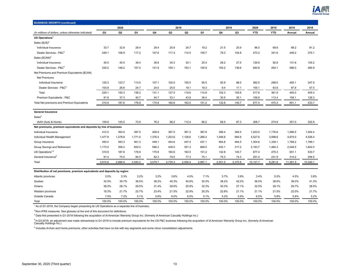

| <b>BUSINESS GROWTH (continued)</b>                                       |                |                |         |         |                |                |         |         |                |            |            |          |          |
|--------------------------------------------------------------------------|----------------|----------------|---------|---------|----------------|----------------|---------|---------|----------------|------------|------------|----------|----------|
|                                                                          |                | 2020           |         |         | 2019           |                |         | 2018    |                | 2020       | 2019       | 2019     | 2018     |
| (In millions of dollars, unless otherwise indicated)                     | Q <sub>3</sub> | Q <sub>2</sub> | Q1      | Q4      | Q <sub>3</sub> | Q <sub>2</sub> | Q1      | Q4      | Q <sub>3</sub> | <b>YTD</b> | <b>YTD</b> | Annual   | Annual   |
| US Operations <sup>1</sup>                                               |                |                |         |         |                |                |         |         |                |            |            |          |          |
| Sales $$US)^2$                                                           |                |                |         |         |                |                |         |         |                |            |            |          |          |
| Individual Insurance                                                     | 33.7           | 32.9           | 29.4    | 29.4    | 25.9           | 24.7           | 19.2    | 21.5    | 20.9           | 96.0       | 69.8       | 99.2     | 81.2     |
| Dealer Services - P&C <sup>3</sup>                                       | 249.1          | 106.9          | 117.2   | 107.6   | 117.4          | 114.5          | 109.7   | 79.3    | 104.8          | 473.2      | 341.6      | 449.2    | 375.1    |
| Sales $(SCAN)^2$                                                         |                |                |         |         |                |                |         |         |                |            |            |          |          |
| Individual Insurance                                                     | 45.0           | 45.5           | 39.4    | 38.8    | 34.3           | 33.1           | 25.4    | 28.2    | 27.5           | 129.9      | 92.8       | 131.6    | 105.2    |
| Dealer Services - P&C <sup>3</sup>                                       | 335.2          | 148.2          | 157.4   | 141.9   | 155.1          | 153.1          | 145.9   | 105.2   | 136.6          | 640.8      | 454.1      | 596.0    | 485.9    |
| Net Premiums and Premium Equivalents (\$CAN)                             |                |                |         |         |                |                |         |         |                |            |            |          |          |
| <b>Net Premiums</b>                                                      |                |                |         |         |                |                |         |         |                |            |            |          |          |
| Individual Insurance                                                     | 125.3          | 123.7          | 113.5   | 107.1   | 102.0          | 100.5          | 95.5    | 92.9    | 88.5           | 362.5      | 298.0      | 405.1    | 347.9    |
| Dealer Services - P&C <sup>3</sup>                                       | 103.8          | 26.6           | 24.7    | 24.0    | 25.5           | 19.1           | 19.3    | 9.4     | 17.1           | 155.1      | 63.9       | 87.9     | 57.5     |
| Total                                                                    | 229.1          | 150.3          | 138.2   | 131.1   | 127.5          | 119.6          | 114.8   | 102.3   | 105.6          | 517.6      | 361.9      | 493.0    | 405.4    |
| Premium Equivalents - P&C                                                | 81.8           | 37.3           | 40.7    | 44.7    | 33.1           | 43.9           | 36.4    | 30.5    | 35.1           | 159.8      | 113.4      | 158.1    | 128.3    |
| Total Net premiums and Premium Equivalents                               | 310.9          | 187.6          | 178.9   | 175.8   | 160.6          | 163.5          | 151.2   | 132.8   | 140.7          | 677.4      | 475.3      | 651.1    | 533.7    |
| <b>General Insurance</b>                                                 |                |                |         |         |                |                |         |         |                |            |            |          |          |
| Sales <sup>2</sup>                                                       |                |                |         |         |                |                |         |         |                |            |            |          |          |
| iAAH (Auto & Home)                                                       | 109.8          | 125.0          | 73.9    | 76.2    | 96.2           | 112.4          | 66.2    | 68.5    | 87.3           | 308.7      | 274.8      | 351.0    | 322.8    |
| Net premiums, premium equivalents and deposits by line of business       |                |                |         |         |                |                |         |         |                |            |            |          |          |
| Individual Insurance                                                     | 412.0          | 393.5          | 397.5   | 409.9   | 397.5          | 391.3          | 387.8   | 399.4   | 384.5          | 1,203.0    | 1,176.6    | 1,586.5  | 1,554.4  |
| Individual Wealth Management                                             | 1,477.8        | 1,278.8        | 1,771.0 | 1,376.4 | 1,203.6        | 1,128.6        | 1,266.4 | 1,046.6 | 994.6          | 4,527.6    | 3,598.6    | 4,975.0  | 4,526.4  |
| Group Insurance                                                          | 450.0          | 393.3          | 461.3   | 449.1   | 454.6          | 447.4          | 437.1   | 464.8   | 464.5          | 1,304.6    | 1,339.1    | 1,788.2  | 1,789.1  |
| Group Savings and Retirement                                             | 1,173.5        | 358.2          | 652.0   | 586.2   | 439.5          | 351.3          | 669.5   | 432.1   | 317.2          | 2,183.7    | 1,460.3    | 2,046.5  | 1,642.0  |
| US Operations <sup>1,4</sup>                                             | 310.9          | 187.6          | 178.9   | 175.8   | 160.6          | 163.5          | 151.2   | 132.8   | 140.7          | 677.4      | 475.3      | 651.1    | 533.7    |
| General Insurance <sup>5</sup>                                           | 91.4           | 75.5           | 84.5    | 82.3    | 79.5           | 77.3           | 75.1    | 75.3    | 74.3           | 251.4      | 231.9      | 314.2    | 294.5    |
| Total                                                                    | 3,915.6        | 2,686.9        | 3,545.2 | 3,079.7 | 2,735.3        | 2,559.4        | 2,987.1 | 2,551.0 | 2,375.8        | 10,147.7   | 8,281.8    | 11,361.5 | 10,340.1 |
| Distribution of net premiums, premium equivalents and deposits by region |                |                |         |         |                |                |         |         |                |            |            |          |          |
| Atlantic provinces                                                       | 3.5%           | 3.3%           | 3.2%    | 3.2%    | 3.6%           | 4.0%           | 7.1%    | 3.7%    | 3.9%           | 3.4%       | 5.0%       | 4.5%     | 3.8%     |
| Quebec                                                                   | 32.5%          | 39.7%          | 38.5%   | 36.2%   | 40.3%          | 40.8%          | 35.3%   | 38.2%   | 42.0%          | 36.5%      | 38.6%      | 38.0%    | 41.3%    |
| Ontario                                                                  | 38.2%          | 28.1%          | 29.5%   | 31.4%   | 28.6%          | 25.8%          | 32.3%   | 30.3%   | 27.1%          | 32.5%      | 29.1%      | 29.7%    | 28.0%    |
| Western provinces                                                        | 18.3%          | 21.7%          | 23.7%   | 23.4%   | 21.5%          | 22.9%          | 20.2%   | 22.6%   | 21.1%          | 21.1%      | 21.5%      | 22.0%    | 21.7%    |
| Outside Canada                                                           | 7.5%           | 7.2%           | 5.1%    | 5.8%    | 6.0%           | 6.5%           | 5.1%    | 5.2%    | 5.9%           | 6.5%       | 5.8%       | 5.8%     | 5.2%     |
| Total                                                                    | 100.0%         | 100.0%         | 100.0%  | 100.0%  | 100.0%         | 100.0%         | 100.0%  | 100.0%  | 100.0%         | 100.0%     | 100.0%     | 100.0%   | 100.0%   |

<sup>1</sup> As of Q1-2018, the Company began presenting its US Operations as a separate line of business.

 $2$  Non-IFRS measures. See glossary at the end of this document for definitions.

<sup>3</sup> Data first presented in Q1-2018 following the acquisition of iA American Warranty Group Inc. (formerly iA American Casualty Holdings Inc.)

<sup>4</sup> In Q3-2018, an adjustment was made retroactively to Q1-2018 to include premium equivalents for the US P&C business following the acquisition of iA American Warranty Group Inc. (formerly iA American<br>Casualty Holdings In

<sup>5</sup> Includes iA Auto and Home premiums, other activities that have no link with key segments and some minor consolidation adjustments.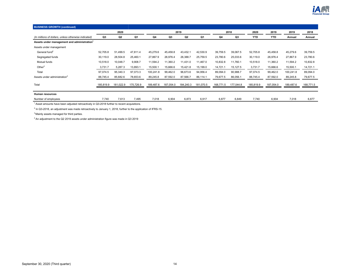

| <b>BUSINESS GROWTH (continued)</b>                      |           |                |           |           |           |           |           |           |                |            |            |           |           |
|---------------------------------------------------------|-----------|----------------|-----------|-----------|-----------|-----------|-----------|-----------|----------------|------------|------------|-----------|-----------|
|                                                         |           | 2020           |           |           |           | 2019      |           |           | 2018           | 2020       | 2019       | 2019      | 2018      |
| (In millions of dollars, unless otherwise indicated)    | Q3        | Q <sub>2</sub> | Q1        | Q4        | Q3        | Q2        | Q1        | Q4        | Q <sub>3</sub> | <b>YTD</b> | <b>YTD</b> | Annual    | Annual    |
| Assets under management and administration <sup>1</sup> |           |                |           |           |           |           |           |           |                |            |            |           |           |
| Assets under management                                 |           |                |           |           |           |           |           |           |                |            |            |           |           |
| General fund <sup>2</sup>                               | 52,705.8  | 51,499.5       | 47,811.4  | 45,279.6  | 45,458.8  | 43,432.1  | 42,530.9  | 39,759.5  | 39,067.5       | 52,705.8   | 45,458.8   | 45,279.6  | 39,759.5  |
| Segregated funds                                        | 30,119.0  | 28,504.8       | 25,460.1  | 27,867.9  | 26,976.4  | 26,388.7  | 25,759.5  | 23,780.6  | 25,033.6       | 30,119.0   | 26,976.4   | 27,867.9  | 23,780.6  |
| Mutual funds                                            | 10,518.0  | 10,048.7       | 9,908.7   | 11,594.2  | 11,360.2  | 11,431.0  | 11,467.0  | 10,832.8  | 11,760.1       | 10,518.0   | 11,360.2   | 11,594.2  | 10,832.8  |
| Other $3$                                               | 3,731.7   | 5,287.3        | 13,893.1  | 15,500.1  | 15,666.6  | 15,421.8  | 15,199.0  | 14,721.1  | 15,127.5       | 3,731.7    | 15,666.6   | 15,500.1  | 14,721.1  |
| Total                                                   | 97,074.5  | 95,340.3       | 97,073.3  | 100,241.8 | 99,462.0  | 96,673.6  | 94,956.4  | 89,094.0  | 90,988.7       | 97,074.5   | 99,462.0   | 100,241.8 | 89,094.0  |
| Assets under administration <sup>4</sup>                | 88,745.4  | 85,682.6       | 78,653.6  | 89,245.8  | 87,592.0  | 87,566.7  | 86,114.1  | 79,677.5  | 86,056.1       | 88,745.4   | 87,592.0   | 89,245.8  | 79,677.5  |
| Total                                                   | 185,819.9 | 181,022.9      | 175,726.9 | 189,487.6 | 187,054.0 | 184,240.3 | 181,070.5 | 168,771.5 | 177,044.8      | 185,819.9  | 187,054.0  | 189,487.6 | 168,771.5 |
| <b>Human resources</b>                                  |           |                |           |           |           |           |           |           |                |            |            |           |           |
| Number of employees                                     | 7,740     | 7,613          | 7,495     | 7,018     | 6,904     | 6,873     | 6,917     | 6,877     | 6,849          | 7,740      | 6,904      | 7,018     | 6,877     |

 $1$  Asset amounts have been adjusted retroactively in Q3-2018 further to recent acquisitions.

<sup>2</sup> In Q3-2018, an adjustment was made retroactively to January 1, 2018, further to the application of IFRS-15.

 $3$  Mainly assets managed for third parties.

<sup>4</sup> An adjustment to the Q2 2019 assets under administration figure was made in Q3 2019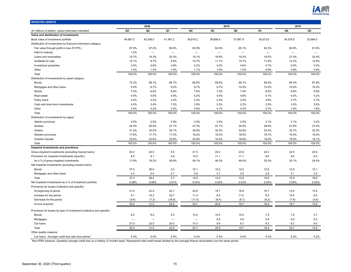

<span id="page-14-0"></span>

| <b>INVESTED ASSETS</b>                                                |                          |                          |                          |                                 |                          |                          |                          |                          |                |
|-----------------------------------------------------------------------|--------------------------|--------------------------|--------------------------|---------------------------------|--------------------------|--------------------------|--------------------------|--------------------------|----------------|
|                                                                       |                          | 2020                     |                          |                                 | 2019                     |                          |                          | 2018                     |                |
| (In millions of dollars, unless otherwise indicated)                  | Q <sub>3</sub>           | Q2                       | Q1                       | Q4                              | Q <sub>3</sub>           | Q2                       | Q <sub>1</sub>           | Q4                       | Q <sub>3</sub> |
| Value and distribution of investments                                 |                          |                          |                          |                                 |                          |                          |                          |                          |                |
| Book value of investment portfolio                                    | 44,687.0                 | 43,308.0                 | 41,561.2                 | 39,919.2                        | 39,856.8                 | 37,987.9                 | 36,572.6                 | 34,578.9                 | 33,994.0       |
| Distribution of investments by financial instrument category          |                          |                          |                          |                                 |                          |                          |                          |                          |                |
| Fair value through profit or loss (FVTPL)                             | 67.5%                    | 67.4%                    | 65.0%                    | 63.9%                           | 64.5%                    | 65.1%                    | 63.3%                    | 60.8%                    | 61.6%          |
| Held to maturity                                                      | 1.2%                     |                          | $\overline{\phantom{m}}$ | $\overbrace{\phantom{1232211}}$ | $\overline{\phantom{0}}$ | $\overline{\phantom{0}}$ | $\overline{\phantom{0}}$ | $\overline{\phantom{0}}$ |                |
| Loans and receivables                                                 | 15.7%                    | 18.3%                    | 20.3%                    | 19.1%                           | 18.9%                    | 19.2%                    | 19.5%                    | 21.0%                    | 20.4%          |
| Available for sale                                                    | 10.1%                    | 8.7%                     | 8.8%                     | 10.7%                           | 11.1%                    | 10.1%                    | 11.6%                    | 12.3%                    | 12.9%          |
| Investment properties                                                 | 4.5%                     | 4.6%                     | 4.9%                     | 5.2%                            | 4.5%                     | 4.6%                     | 4.7%                     | 5.0%                     | 4.2%           |
| Other                                                                 | 1.0%                     | 1.0%                     | 1.0%                     | 1.1%                            | 1.0%                     | 1.0%                     | 0.9%                     | 0.9%                     | 0.9%           |
| Total                                                                 | 100.0%                   | 100.0%                   | 100.0%                   | 100.0%                          | 100.0%                   | 100.0%                   | 100.0%                   | 100.0%                   | 100.0%         |
| Distribution of investments by asset category                         |                          |                          |                          |                                 |                          |                          |                          |                          |                |
| <b>Bonds</b>                                                          | 72.2%                    | 69.1%                    | 66.7%                    | 68.8%                           | 69.6%                    | 69.1%                    | 69.0%                    | 68.3%                    | 67.8%          |
| Mortgages and other loans                                             | 5.9%                     | 8.7%                     | 9.2%                     | 9.7%                            | 9.7%                     | 10.0%                    | 10.0%                    | 10.6%                    | 10.2%          |
| <b>Stocks</b>                                                         | 7.0%                     | 6.8%                     | 6.6%                     | 7.6%                            | 7.3%                     | 7.4%                     | 8.5%                     | 8.8%                     | 9.8%           |
| Real estate                                                           | 4.5%                     | 4.6%                     | 4.9%                     | 5.2%                            | 4.5%                     | 4.6%                     | 4.7%                     | 5.0%                     | 4.2%           |
| Policy loans                                                          | 2.0%                     | 2.2%                     | 2.2%                     | 2.3%                            | 2.3%                     | 2.4%                     | 2.6%                     | 2.7%                     | 2.7%           |
| Cash and short-term investments                                       | 4.0%                     | 3.4%                     | 7.2%                     | 2.8%                            | 2.5%                     | 2.3%                     | 2.5%                     | 3.0%                     | 3.5%           |
| Other                                                                 | 4.4%                     | 5.2%                     | 3.2%                     | 3.6%                            | 4.1%                     | 4.2%                     | 2.7%                     | 1.6%                     | 1.8%           |
| Total                                                                 | 100.0%                   | 100.0%                   | 100.0%                   | 100.0%                          | 100.0%                   | 100.0%                   | 100.0%                   | 100.0%                   | 100.0%         |
| Distribution of investments by region                                 |                          |                          |                          |                                 |                          |                          |                          |                          |                |
| Atlantic provinces                                                    | 3.0%                     | 2.9%                     | 2.9%                     | 2.9%                            | 3.0%                     | 2.9%                     | 3.1%                     | 3.1%                     | 3.2%           |
| Quebec                                                                | 24.4%                    | 26.8%                    | 27.1%                    | 27.3%                           | 27.1%                    | 26.9%                    | 26.8%                    | 27.8%                    | 27.9%          |
| Ontario                                                               | 31.4%                    | 30.0%                    | 30.1%                    | 30.8%                           | 32.3%                    | 32.8%                    | 32.4%                    | 32.7%                    | 32.3%          |
| Western provinces                                                     | 17.6%                    | 17.7%                    | 17.3%                    | 18.2%                           | 18.2%                    | 18.5%                    | 18.7%                    | 18.4%                    | 18.5%          |
| Outside Canada                                                        | 23.6%                    | 22.6%                    | 22.6%                    | 20.8%                           | 19.4%                    | 18.9%                    | 19.0%                    | 18.0%                    | 18.1%          |
| Total                                                                 | 100.0%                   | 100.0%                   | 100.0%                   | 100.0%                          | 100.0%                   | 100.0%                   | 100.0%                   | 100.0%                   | 100.0%         |
| Impaired investments and provisions                                   |                          |                          |                          |                                 |                          |                          |                          |                          |                |
| Gross impaired investments (excluding insured loans)                  | 45.4                     | 44.5                     | 5.5                      | 21.5                            | 24.0                     | 23.9                     | 24.2                     | 24.5                     | 24.6           |
| Provisions for impaired investments (specific)                        | 8.0                      | 8.1                      | 2.8                      | 10.5                            | 11.1                     | 11.1                     | 8.6                      | 8.6                      | 6.0            |
| As a % of gross impaired investments                                  | 17.6%                    | 18.2%                    | 50.9%                    | 49.1%                           | 46.3%                    | 46.4%                    | 35.5%                    | 35.1%                    | 24.4%          |
| Net impaired investments (excluding insured loans)                    |                          |                          |                          |                                 |                          |                          |                          |                          |                |
| <b>Bonds</b>                                                          | 37.0                     | 36.0                     | 2.0                      | 10.1                            | 10.2                     | 10.2                     | 12.8                     | 12.8                     | 15.1           |
| Mortgages and other loans                                             | 0.4                      | 0.4                      | 0.7                      | 0.9                             | 2.7                      | 2.6                      | 2.8                      | 3.1                      | 3.5            |
| Total                                                                 | 37.4                     | 36.4                     | 2.7                      | 10.9                            | 12.9                     | 12.8                     | 15.6                     | 15.9                     | 18.6           |
| Net impaired investments as a % of investment portfolio               | 0.08%                    | 0.08%                    | 0.01%                    | 0.03%                           | 0.03%                    | 0.03%                    | 0.04%                    | 0.05%                    | 0.05%          |
| Provisions for losses (collective and specific)                       |                          |                          |                          |                                 |                          |                          |                          |                          |                |
| At beginning of period                                                | 31.5                     | 22.5                     | 20.7                     | 20.8                            | 19.7                     | 16.8                     | 16.7                     | 13.9                     | 13.5           |
| Increase for the period                                               | 9.1                      | 16.2                     | 20.7                     | 11.4                            | 9.5                      | 11.0                     | 8.3                      | 10.4                     | 6.0            |
| Decrease for the period                                               | (5.6)                    | (7.2)                    | (18.9)                   | (11.5)                          | (8.4)                    | (8.1)                    | (8.2)                    | (7.6)                    | (5.6)          |
| At end of period                                                      | 35.0                     | 31.5                     | 22.5                     | 20.7                            | 20.8                     | 19.7                     | 16.8                     | 16.7                     | 13.9           |
|                                                                       |                          |                          |                          |                                 |                          |                          |                          |                          |                |
| Provisions for losses by type of investment (collective and specific) |                          |                          |                          |                                 |                          |                          |                          |                          |                |
| <b>Bonds</b>                                                          | 8.0                      | 8.0                      | 2.5                      | 10.4                            | 10.4                     | 10.4                     | 7.9                      | 7.9                      | 5.7            |
| Mortgages                                                             | $\overline{\phantom{0}}$ | $\overline{\phantom{0}}$ | $\overline{\phantom{0}}$ | $\overline{\phantom{a}}$        | 0.6                      | 0.6                      | 0.6                      | 0.6                      | 0.2            |
| Car loans                                                             | 27.0                     | 23.5                     | 20.0                     | 10.3                            | 9.8                      | 8.7                      | 8.3                      | 8.2                      | 8.0            |
| Total                                                                 | 35.0                     | 31.5                     | 22.5                     | 20.7                            | 20.8                     | 19.7                     | 16.8                     | 16.7                     | 13.9           |
| Other quality measure                                                 |                          |                          |                          |                                 |                          |                          |                          |                          |                |
| Car loans - Average credit loss rate (non-prime)                      | 4.3%                     | 5.0%                     | 5.5%                     | 5.4%                            | 5.3%                     | 5.4%                     | 5.3%                     | 5.2%                     | 5.2%           |

<sup>1</sup>Non-IFRS measure. Quarterly average credit loss on a trailing 12 months basis. Represents total credit losses divided by the average finance receivables over the same period.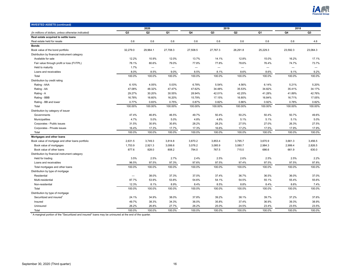

| <b>INVESTED ASSETS (continued)</b>                   |                |                   |                   |                          |                          |                   |                   |                          |                          |
|------------------------------------------------------|----------------|-------------------|-------------------|--------------------------|--------------------------|-------------------|-------------------|--------------------------|--------------------------|
|                                                      |                | 2020              |                   |                          | 2019                     |                   |                   | 2018                     |                          |
| (In millions of dollars, unless otherwise indicated) | Q <sub>3</sub> | Q <sub>2</sub>    | Q1                | Q4                       | Q <sub>3</sub>           | Q <sub>2</sub>    | Q1                | Q4                       | Q <sub>3</sub>           |
| Real estate acquired to settle loans                 |                |                   |                   |                          |                          |                   |                   |                          |                          |
| Real estate held for resale                          | 0.6            | 0.6               | 0.6               | 0.6                      | 0.6                      | 0.6               | 0.6               | 0.6                      | 4.6                      |
| <b>Bonds</b>                                         |                |                   |                   |                          |                          |                   |                   |                          |                          |
| Book value of the bond portfolio                     | 32,279.0       | 29,964.1          | 27,708.3          | 27,508.5                 | 27,767.3                 | 26,291.8          | 25,229.3          | 23,592.3                 | 23,064.3                 |
| Distribution by financial instrument category        |                |                   |                   |                          |                          |                   |                   |                          |                          |
| Available for sale                                   | 12.2%          | 10.9%             | 12.0%             | 13.7%                    | 14.1%                    | 12.8%             | 15.0%             | 16.2%                    | 17.1%                    |
| Fair value through profit or loss (FVTPL)            | 78.1%          | 80.6%             | 79.0%             | 77.8%                    | 77.8%                    | 78.6%             | 76.4%             | 74.7%                    | 73.7%                    |
| Held to maturity                                     | 1.7%           | $\qquad \qquad -$ | $\qquad \qquad -$ | $\overline{\phantom{m}}$ | $\overline{\phantom{m}}$ | $\qquad \qquad -$ | $\qquad \qquad -$ | $\overline{\phantom{m}}$ | $\overline{\phantom{m}}$ |
| Loans and receivables                                | 8.0%           | 8.5%              | 9.0%              | 8.5%                     | 8.1%                     | 8.6%              | 8.6%              | 9.1%                     | 9.2%                     |
| Total                                                | 100.0%         | 100.0%            | 100.0%            | 100.0%                   | 100.0%                   | 100.0%            | 100.0%            | 100.0%                   | 100.0%                   |
| Distribution by credit rating                        |                |                   |                   |                          |                          |                   |                   |                          |                          |
| Rating - AAA                                         | 6.10%          | 4.05%             | 5.03%             | 6.78%                    | 5.54%                    | 4.56%             | 6.14%             | 5.21%                    | 5.20%                    |
| Rating - AA                                          | 47.08%         | 48.32%            | 47.47%            | 47.62%                   | 34.48%                   | 35.53%            | 34.82%            | 35.41%                   | 34.17%                   |
| Rating - A                                           | 29.27%         | 30.20%            | 30.55%            | 28.94%                   | 42.01%                   | 42.25%            | 41.28%            | 41.89%                   | 42.76%                   |
| Rating - BBB                                         | 16.78%         | 16.60%            | 16.20%            | 15.79%                   | 17.15%                   | 16.80%            | 16.84%            | 16.71%                   | 17.05%                   |
| Rating - BB and lower                                | 0.77%          | 0.83%             | 0.75%             | 0.87%                    | 0.82%                    | 0.86%             | 0.92%             | 0.78%                    | 0.82%                    |
| Total                                                | 100.00%        | 100.00%           | 100.00%           | 100.00%                  | 100.00%                  | 100.00%           | 100.00%           | 100.00%                  | 100.00%                  |
| Distribution by category of issuer                   |                |                   |                   |                          |                          |                   |                   |                          |                          |
| Governments                                          | 47.4%          | 46.8%             | 46.5%             | 49.7%                    | 50.4%                    | 50.2%             | 50.4%             | 50.7%                    | 49.6%                    |
| Municipalities                                       | 4.7%           | 5.0%              | 5.0%              | 4.8%                     | 4.8%                     | 5.1%              | 5.1%              | 5.1%                     | 5.0%                     |
| Corporates - Public issues                           | 31.5%          | 30.9%             | 30.8%             | 28.2%                    | 28.2%                    | 27.5%             | 27.0%             | 26.3%                    | 27.5%                    |
| Corporates - Private issues                          | 16.4%          | 17.3%             | 17.7%             | 17.3%                    | 16.6%                    | 17.2%             | 17.5%             | 17.9%                    | 17.9%                    |
| Total                                                | 100.0%         | 100.0%            | 100.0%            | 100.0%                   | 100.0%                   | 100.0%            | 100.0%            | 100.0%                   | 100.0%                   |
| Mortgages and other loans                            |                |                   |                   |                          |                          |                   |                   |                          |                          |
| Book value of mortgage and other loans portfolio     | 2,631.5        | 3,749.3           | 3,814.8           | 3,870.2                  | 3,853.4                  | 3,795.7           | 3,670.9           | 3,661.3                  | 3,456.5                  |
| Book value of mortgages                              | 1,753.9        | 2,921.3           | 3,006.6           | 3,076.2                  | 3,085.9                  | 3,080.7           | 2,984.3           | 2,999.4                  | 2,826.5                  |
| Book value of other loans                            | 877.6          | 828.0             | 808.2             | 794.0                    | 767.5                    | 715.0             | 686.6             | 661.9                    | 630.0                    |
| Distribution by financial instrument category        |                |                   |                   |                          |                          |                   |                   |                          |                          |
| Held for trading                                     | 3.5%           | 2.5%              | 2.7%              | 2.4%                     | 2.5%                     | 2.6%              | 2.5%              | 2.5%                     | 2.2%                     |
| Loans and receivables                                | 96.5%          | 97.5%             | 97.3%             | 97.6%                    | 97.5%                    | 97.4%             | 97.5%             | 97.5%                    | 97.8%                    |
| Total mortgages and other loans                      | 100.0%         | 100.0%            | 100.0%            | 100.0%                   | 100.0%                   | 100.0%            | 100.0%            | 100.0%                   | 100.0%                   |
| Distribution by type of mortgage                     |                |                   |                   |                          |                          |                   |                   |                          |                          |
| Residential                                          | —              | 38.0%             | 37.3%             | 37.0%                    | 37.4%                    | 36.7%             | 36.5%             | 36.0%                    | 37.0%                    |
| Multi-residential                                    | 87.7%          | 53.9%             | 53.8%             | 54.6%                    | 54.1%                    | 54.5%             | 55.1%             | 55.4%                    | 55.6%                    |
| Non-residential                                      | 12.3%          | 8.1%              | 8.9%              | 8.4%                     | 8.5%                     | 8.8%              | 8.4%              | 8.6%                     | 7.4%                     |
| Total                                                | 100.0%         | 100.0%            | 100.0%            | 100.0%                   | 100.0%                   | 100.0%            | 100.0%            | 100.0%                   | 100.0%                   |
| Distribution by type of mortgage                     |                |                   |                   |                          |                          |                   |                   |                          |                          |
| Securitized and insured <sup>1</sup>                 | 24.1%          | 34.9%             | 38.0%             | 37.8%                    | 39.2%                    | 38.1%             | 39.7%             | 37.2%                    | 37.6%                    |
| Insured                                              | 49.7%          | 38.3%             | 34.3%             | 36.0%                    | 35.8%                    | 37.4%             | 36.9%             | 39.3%                    | 38.9%                    |
| Uninsured                                            | 26.2%          | 26.8%             | 27.7%             | 26.2%                    | 25.0%                    | 24.5%             | 23.4%             | 23.5%                    | 23.5%                    |
| Total                                                | 100.0%         | 100.0%            | 100.0%            | 100.0%                   | 100.0%                   | 100.0%            | 100.0%            | 100.0%                   | 100.0%                   |

<sup>1</sup> A marginal portion of the "Securitized and insured" loans may be uninsured at the end of the quarter.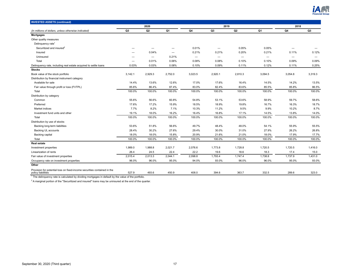

| <b>INVESTED ASSETS (continued)</b>                                                             |         |                          |                          |                   |         |                  |         |                          |                          |
|------------------------------------------------------------------------------------------------|---------|--------------------------|--------------------------|-------------------|---------|------------------|---------|--------------------------|--------------------------|
|                                                                                                |         | 2020                     |                          |                   | 2019    |                  |         | 2018                     |                          |
| (In millions of dollars, unless otherwise indicated)                                           | Q3      | Q <sub>2</sub>           | Q1                       | Q <sub>4</sub>    | Q3      | $_{\mathbf{Q2}}$ | Q1      | Q4                       | Q3                       |
| <b>Mortgages</b>                                                                               |         |                          |                          |                   |         |                  |         |                          |                          |
| Other quality measures                                                                         |         |                          |                          |                   |         |                  |         |                          |                          |
| Delinquency rate <sup>1</sup>                                                                  |         |                          |                          |                   |         |                  |         |                          |                          |
| Securitized and insured <sup>2</sup>                                                           |         | $\overline{\phantom{0}}$ | -                        | 0.01%             |         | 0.05%            | 0.05%   |                          |                          |
| Insured                                                                                        |         | 0.04%                    | $\overline{\phantom{0}}$ | 0.21%             | 0.21%   | 0.20%            | 0.21%   | 0.11%                    | 0.12%                    |
| Uninsured                                                                                      |         |                          | 0.21%                    | $\qquad \qquad -$ |         |                  |         | $\overline{\phantom{0}}$ | $\overline{\phantom{0}}$ |
| Total                                                                                          |         | 0.01%                    | 0.06%                    | 0.08%             | 0.08%   | 0.10%            | 0.10%   | 0.09%                    | 0.09%                    |
| Delinquency rate, including real estate acquired to settle loans                               | 0.03%   | 0.03%                    | 0.08%                    | 0.10%             | 0.09%   | 0.11%            | 0.12%   | 0.11%                    | 0.25%                    |
| <b>Stocks</b>                                                                                  |         |                          |                          |                   |         |                  |         |                          |                          |
| Book value of the stock portfolio                                                              | 3,142.1 | 2,929.3                  | 2,752.0                  | 3,023.5           | 2,920.1 | 2,810.3          | 3,094.5 | 3,054.8                  | 3,319.3                  |
| Distribution by financial instrument category                                                  |         |                          |                          |                   |         |                  |         |                          |                          |
| Available for sale                                                                             | 14.4%   | 13.6%                    | 12.6%                    | 17.0%             | 17.6%   | 16.4%            | 14.5%   | 14.2%                    | 13.5%                    |
| Fair value through profit or loss (FVTPL)                                                      | 85.6%   | 86.4%                    | 87.4%                    | 83.0%             | 82.4%   | 83.6%            | 85.5%   | 85.8%                    | 86.5%                    |
| Total                                                                                          | 100.0%  | 100.0%                   | 100.0%                   | 100.0%            | 100.0%  | 100.0%           | 100.0%  | 100.0%                   | 100.0%                   |
| Distribution by category                                                                       |         |                          |                          |                   |         |                  |         |                          |                          |
| Common                                                                                         | 55.6%   | 56.6%                    | 60.8%                    | 54.8%             | 53.1%   | 53.6%            | 58.9%   | 59.7%                    | 58.6%                    |
| Preferred                                                                                      | 17.6%   | 17.2%                    | 15.9%                    | 18.5%             | 18.9%   | 19.8%            | 16.7%   | 16.3%                    | 18.7%                    |
| Market indices                                                                                 | 7.7%    | 8.2%                     | 7.1%                     | 10.3%             | 11.2%   | 9.5%             | 9.9%    | 10.2%                    | 8.7%                     |
| Investment fund units and other                                                                | 19.1%   | 18.0%                    | 16.2%                    | 16.4%             | 16.8%   | 17.1%            | 14.5%   | 13.8%                    | 14.0%                    |
| Total                                                                                          | 100.0%  | 100.0%                   | 100.0%                   | 100.0%            | 100.0%  | 100.0%           | 100.0%  | 100.0%                   | 100.0%                   |
| Distribution by use of stocks                                                                  |         |                          |                          |                   |         |                  |         |                          |                          |
| Backing long-term liabilities                                                                  | 53.6%   | 51.8%                    | 56.6%                    | 49.7%             | 48.4%   | 48.0%            | 54.1%   | 55.9%                    | 55.5%                    |
| <b>Backing UL accounts</b>                                                                     | 28.4%   | 30.2%                    | 27.6%                    | 29.4%             | 30.0%   | 31.0%            | 27.9%   | 26.2%                    | 26.8%                    |
| Backing capital                                                                                | 18.0%   | 18.0%                    | 15.8%                    | 20.9%             | 21.6%   | 21.0%            | 18.0%   | 17.9%                    | 17.7%                    |
| Total                                                                                          | 100.0%  | 100.0%                   | 100.0%                   | 100.0%            | 100.0%  | 100.0%           | 100.0%  | 100.0%                   | 100.0%                   |
| <b>Real estate</b>                                                                             |         |                          |                          |                   |         |                  |         |                          |                          |
| Investment properties                                                                          | 1,989.0 | 1,988.8                  | 2,021.7                  | 2,076.6           | 1,773.8 | 1,728.8          | 1,720.5 | 1,720.5                  | 1,416.0                  |
| Linearization of rents                                                                         | 26.4    | 24.5                     | 22.4                     | 22.2              | 19.6    | 18.6             | 18.3    | 17.4                     | 15.0                     |
| Fair value of investment properties                                                            | 2,015.4 | 2,013.3                  | 2,044.1                  | 2,098.8           | 1,793.4 | 1,747.4          | 1,738.8 | 1,737.9                  | 1,431.0                  |
| Occupancy rate on investment properties                                                        | 96.0%   | 96.0%                    | 95.0%                    | 94.0%             | 93.0%   | 96.0%            | 96.0%   | 95.0%                    | 93.0%                    |
| Other                                                                                          |         |                          |                          |                   |         |                  |         |                          |                          |
| Provision for potential loss on fixed-income securities contained in the<br>policy liabilities | 527.9   | 493.6                    | 450.9                    | 408.0             | 394.6   | 363.7            | 332.5   | 289.6                    | 323.0                    |

 $1$ <sup>1</sup> The delinquency rate is calculated by dividing mortgages in default by the value of the portfolio.

 $2$  A marginal portion of the "Securitized and insured" loans may be uninsured at the end of the quarter.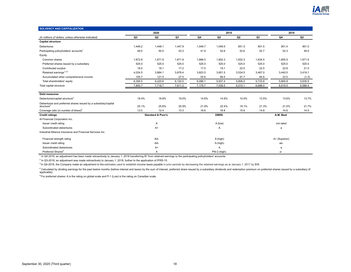

<span id="page-17-0"></span>

| <b>SOLVENCY AND CAPITALIZATION</b>                                                    |         |                              |         |                |              |         |         |               |         |
|---------------------------------------------------------------------------------------|---------|------------------------------|---------|----------------|--------------|---------|---------|---------------|---------|
|                                                                                       |         | 2020                         |         |                | 2019         |         |         | 2018          |         |
| (In millions of dollars, unless otherwise indicated)                                  | Q3      | Q <sub>2</sub>               | Q1      | Q <sub>4</sub> | Q3           | Q2      | Q1      | Q4            | Q3      |
| <b>Capital structure</b>                                                              |         |                              |         |                |              |         |         |               |         |
| <b>Debentures</b>                                                                     | 1,448.2 | 1,448.1                      | 1,447.9 | 1,049.7        | 1,049.5      | 651.5   | 901.5   | 901.4         | 901.0   |
| Participating policyholders' accounts <sup>1</sup>                                    | 46.0    | 50.0                         | 43.3    | 41.9           | 52.6         | 52.6    | 52.7    | 52.3          | 49.5    |
| Equity                                                                                |         |                              |         |                |              |         |         |               |         |
| Common shares                                                                         | 1,672.8 | 1,671.9                      | 1,671.9 | 1,666.5        | 1,652.3      | 1,632.3 | 1,634.5 | 1,655.5       | 1,671.6 |
| Preferred shares issued by a subsidiary                                               | 525.0   | 525.0                        | 525.0   | 525.0          | 525.0        | 525.0   | 525.0   | 525.0         | 525.0   |
| Contributed surplus                                                                   | 18.5    | 18.1                         | 17.2    | 17.5           | 19.1         | 22.5    | 22.5    | 22.8          | 21.5    |
| Retained earnings <sup>1,2,3</sup>                                                    | 4,034.5 | 3,884.1                      | 3,878.4 | 3,823.5        | 3,651.5      | 3,534.5 | 3,467.0 | 3,440.0       | 3,419.1 |
| Accumulated other comprehensive income                                                | 105.7   | 121.5                        | 27.5    | 55.6           | 89.5         | 91.7    | 84.8    | 22.5          | (1.3)   |
| Total shareholders' equity                                                            | 6,356.5 | 6,220.6                      | 6,120.0 | 6,088.1        | 5,937.4      | 5,806.0 | 5,733.8 | 5,665.8       | 5,635.9 |
| Total capital structure                                                               | 7,850.7 | 7,718.7                      | 7,611.2 | 7,179.7        | 7,039.5      | 6,510.1 | 6,688.0 | 6,619.5       | 6,586.4 |
| <b>Debt measures</b>                                                                  |         |                              |         |                |              |         |         |               |         |
| Debentures/capital structure <sup>3</sup>                                             | 18.4%   | 18.8%                        | 19.0%   | 14.6%          | 14.9%        | 10.0%   | 13.5%   | 13.6%         | 13.7%   |
| Debentures and preferred shares issued by a subsidiary/capital structure <sup>2</sup> | 25.1%   | 25.6%                        | 25.9%   | 21.9%          | 22.4%        | 18.1%   | 21.3%   | 21.5%         | 21.7%   |
| Coverage ratio (in number of times) <sup>4</sup>                                      | 12.0    | 12.4                         | 13.3    | 16.6           | 16.8         | 15.9    | 14.8    | 14.6          | 14.5    |
| <b>Credit ratings</b>                                                                 |         | <b>Standard &amp; Poor's</b> |         |                | <b>DBRS</b>  |         |         | A.M. Best     |         |
| iA Financial Corporation Inc.                                                         |         |                              |         |                |              |         |         |               |         |
| Issuer credit rating                                                                  |         | A                            |         |                | A (low)      |         |         | not rated     |         |
| Subordinated debentures                                                               |         | $A+$                         |         |                | A            |         |         | a             |         |
| Industrial Alliance Insurance and Financial Services Inc.                             |         |                              |         |                |              |         |         |               |         |
| Financial strength rating                                                             |         | AA-                          |         |                | A (high)     |         |         | A+ (Superior) |         |
| Issuer credit rating                                                                  |         | AA-                          |         |                | A (high)     |         |         | aa-           |         |
| Subordinated debentures                                                               |         | A+                           |         |                | A            |         |         | a             |         |
| Preferred Shares <sup>5</sup>                                                         |         | Α                            |         |                | Pfd-2 (high) |         |         | $a-$          |         |

<sup>1</sup> In Q4 2019, an adjustment has been made retroactively to January 1, 2018 transferring \$7 from retained earnings to the participating policyholders' accounts.

<sup>2</sup> In Q3-2018, an adjustment was made retroactively to January 1, 2018, further to the application of IFRS-15.

<sup>3</sup> In Q4-2018, the Company made an adjustment to the estimates used to establish income taxes payable in prior periods by decreasing the retained earnings as at January 1, 2017 by \$58.

<sup>4</sup> Calculated by dividing earnings for the past twelve months (before interest and taxes) by the sum of interest, preferred share issued by a subsidiary dividends and redemption premium on preferred shares issued by a sub applicable).

 $5$ For preferred shares: A is the rating on global scale and P-1 (Low) is the rating on Canadian scale.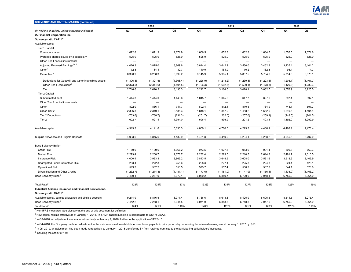

| <b>SOLVENCY AND CAPITALIZATION (continued)</b>             |                          |                          |                          |                          |                          |                          |                          |                          |                          |
|------------------------------------------------------------|--------------------------|--------------------------|--------------------------|--------------------------|--------------------------|--------------------------|--------------------------|--------------------------|--------------------------|
|                                                            |                          | 2020                     |                          |                          | 2019                     |                          |                          | 2018                     |                          |
| (In millions of dollars, unless otherwise indicated)       | Q <sub>3</sub>           | Q <sub>2</sub>           | Q1                       | Q4                       | Q3                       | Q <sub>2</sub>           | Q1                       | Q4                       | Q <sub>3</sub>           |
| iA Financial Corporation Inc.                              |                          |                          |                          |                          |                          |                          |                          |                          |                          |
| Solvency ratio CARLI <sup>1,2</sup>                        |                          |                          |                          |                          |                          |                          |                          |                          |                          |
| Available capital                                          |                          |                          |                          |                          |                          |                          |                          |                          |                          |
| Tier 1 Capital:                                            |                          |                          |                          |                          |                          |                          |                          |                          |                          |
| Common shares                                              | 1,672.8                  | 1,671.9                  | 1,671.9                  | 1,666.5                  | 1,652.3                  | 1,632.3                  | 1,634.5                  | 1,655.5                  | 1,671.6                  |
| Preferred shares issued by a subsidiary                    | 525.0                    | 525.0                    | 525.0                    | 525.0                    | 525.0                    | 525.0                    | 525.0                    | 525.0                    | 525.0                    |
| Other Tier 1 capital instruments                           | $\overline{\phantom{0}}$ | $\overline{\phantom{0}}$ |                          | $\overline{\phantom{0}}$ | $\overline{\phantom{0}}$ | —                        |                          |                          | $\overline{\phantom{m}}$ |
| Adjusted Retained Earnings <sup>3,4,5</sup>                | 4,026.3                  | 3,875.0                  | 3,869.6                  | 3,814.4                  | 3,642.9                  | 3,530.0                  | 3,462.8                  | 3,435.4                  | 3,404.2                  |
| Other <sup>5</sup>                                         | 172.8                    | 184.4                    | 32.7                     | 140.0                    | 164.9                    | 170.2                    | 162.3                    | 98.4                     | 74.3                     |
| Gross Tier 1                                               | 6,396.9                  | 6,256.3                  | 6,099.2                  | 6,145.9                  | 5,985.1                  | 5,857.5                  | 5,784.6                  | 5,714.3                  | 5,675.1                  |
| Deductions for Goodwill and Other intangibles assets       | (1,306.8)                | (1,321.5)                | (1,368.4)                | (1,226.9)                | (1,218.2)                | (1,239.3)                | (1,223.6)                | (1,208.1)                | (1, 167.3)               |
| Other Tier 1 Deductions <sup>3</sup>                       | (2, 373.5)               | (2,314.6)                | (1,594.5)                | (1,706.3)                | (1,602.3)                | (1,590.1)                | (1,478.3)                | (1,429.3)                | (1, 282.3)               |
| Tier 1                                                     | 2,716.6                  | 2,620.2                  | 3,136.3                  | 3,212.7                  | 3,164.6                  | 3,028.1                  | 3,082.7                  | 3,076.9                  | 3,225.5                  |
| Tier 2 Capital                                             |                          |                          |                          |                          |                          |                          |                          |                          |                          |
| Subordinated debt                                          | 1,444.3                  | 1,444.0                  | 1,443.6                  | 1,045.7                  | 1,045.5                  | 647.7                    | 897.6                    | 897.4                    | 897.1                    |
| Other Tier 2 capital instruments                           | $\overline{\phantom{0}}$ | $\overline{\phantom{0}}$ | $\overline{\phantom{0}}$ | $\overline{\phantom{0}}$ | $\overline{\phantom{a}}$ | $\overline{\phantom{0}}$ | $\overline{\phantom{0}}$ | $\overline{\phantom{0}}$ | $\overline{\phantom{0}}$ |
| Other                                                      | 892.0                    | 866.1                    | 741.7                    | 802.4                    | 812.4                    | 810.5                    | 764.9                    | 743.1                    | 597.3                    |
| Gross Tier 2                                               | 2,336.3                  | 2,310.1                  | 2,185.3                  | 1,848.1                  | 1,857.9                  | 1,458.2                  | 1,662.5                  | 1,640.5                  | 1,494.4                  |
| <b>Tier 2 Deductions</b>                                   | (733.6)                  | (788.7)                  | (231.3)                  | (251.7)                  | (262.0)                  | (257.0)                  | (259.1)                  | (248.5)                  | (241.5)                  |
| Tier 2                                                     | 1,602.7                  | 1,521.4                  | 1,954.0                  | 1,596.4                  | 1,595.9                  | 1,201.2                  | 1,403.4                  | 1,392.0                  | 1,252.9                  |
| Available capital                                          | 4,319.3                  | 4,141.6                  | 5,090.3                  | 4,809.1                  | 4,760.5                  | 4,229.3                  | 4,486.1                  | 4,468.9                  | 4,478.4                  |
| Surplus Allowance and Eligible Deposits                    | 4,993.6                  | 4,845.6                  | 4,432.9                  | 4,461.8                  | 4,419.9                  | 4,294.1                  | 4,268.2                  | 4,045.6                  | 3,797.0                  |
| <b>Base Solvency Buffer</b>                                |                          |                          |                          |                          |                          |                          |                          |                          |                          |
| <b>Credit Risk</b>                                         | 1,189.9                  | 1,139.6                  | 1,067.2                  | 973.5                    | 1,027.5                  | 953.9                    | 901.4                    | 800.3                    | 760.3                    |
| <b>Market Risk</b>                                         | 2,273.4                  | 2,208.7                  | 2,078.7                  | 2,232.4                  | 2,223.5                  | 2,210.5                  | 2,614.3                  | 2,481.7                  | 2.616.5                  |
| <b>Insurance Risk</b>                                      | 4,000.4                  | 3,933.3                  | 3,863.2                  | 3,813.5                  | 3,648.5                  | 3,608.0                  | 3,561.6                  | 3,518.9                  | 3,403.9                  |
| Segregated Fund Guarantees Risk                            | 283.4                    | 272.8                    | 255.6                    | 228.3                    | 227.1                    | 225.3                    | 224.3                    | 224.4                    | 426.1                    |
| <b>Operational Risk</b>                                    | 599.3                    | 582.2                    | 556.5                    | 573.7                    | 557.4                    | 550.2                    | 567.3                    | 544.1                    | 528.8                    |
| Diversification and Other Credits                          | (1, 232.7)               | (1,214.8)                | (1, 181.1)               | (1, 173.6)               | (1, 151.0)               | (1, 147.9)               | (1, 156.4)               | (1, 135.9)               | (1, 103.2)               |
| Base Solvency Buffer <sup>6</sup>                          | 7,469.4                  | 7,267.9                  | 6,972.1                  | 6,980.2                  | 6,859.7                  | 6,720.0                  | 7,048.1                  | 6,755.2                  | 6,964.0                  |
| Total Ratio <sup>6</sup>                                   | 125%                     | 124%                     | 137%                     | 133%                     | 134%                     | 127%                     | 124%                     | 126%                     | 119%                     |
| Industrial Alliance Insurance and Financial Services Inc.  |                          |                          |                          |                          |                          |                          |                          |                          |                          |
| Solvency ratio CARLI <sup>1,2</sup>                        |                          |                          |                          |                          |                          |                          |                          |                          |                          |
| Available capital, surplus allowance and eligible deposits | 9,214.9                  | 8,816.5                  | 8,077.4                  | 8,766.6                  | 8,613.8                  | 8,425.9                  | 8,695.5                  | 8,514.5                  | 8,275.4                  |
| Base Solvency Buffer <sup>6</sup>                          | 7,442.2                  | 7,258.1                  | 6,941.5                  | 6,971.9                  | 6,858.3                  | 6,718.8                  | 7,047.5                  | 6,755.2                  | 6,964.0                  |
| Total Ratio <sup>6</sup>                                   | 124%                     | 121%                     | 116%                     | 126%                     | 126%                     | 125%                     | 123%                     | 126%                     | 119%                     |

 $2$ New capital regime effective as at January 1, 2018. The AMF capital guideline is comparable to OSFI's LICAT.

 $3$  In Q3-2018, an adjustment was made retroactively to January 1, 2018, further to the application of IFRS-15.

<sup>4</sup> In Q4-2018, the Company made an adjustment to the estimates used to establish income taxes payable in prior periods by decreasing the retained earnings as at January 1, 2017 by \$58.

<sup>5</sup> In Q4-2019, an adjustment has been made retroactively to January 1, 2018 transferring \$7 from retained earnings to the participating policyholders' accounts.

 $6$  Including the scalar of 1.05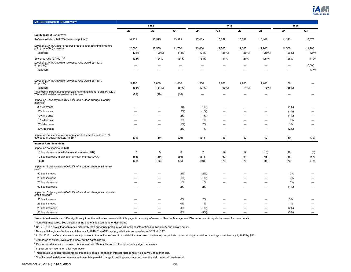

<span id="page-19-0"></span>

| <b>MACROECONOMIC SENSITIVITY</b>                                                                                          |                |                |             |                          |                          |                |                          |                          |                |
|---------------------------------------------------------------------------------------------------------------------------|----------------|----------------|-------------|--------------------------|--------------------------|----------------|--------------------------|--------------------------|----------------|
|                                                                                                                           |                | 2020           |             |                          | 2019                     |                |                          | 2018                     |                |
|                                                                                                                           | Q <sub>3</sub> | Q <sub>2</sub> | Q1          | Q4                       | Q3                       | Q <sub>2</sub> | Q1                       | Q4                       | Q <sub>3</sub> |
| <b>Equity Market Sensitivity</b>                                                                                          |                |                |             |                          |                          |                |                          |                          |                |
| Reference index (S&P/TSX Index (in points)) <sup>2</sup>                                                                  | 16,121         | 15,515         | 13,379      | 17,063                   | 16,659                   | 16,382         | 16,102                   | 14,323                   | 16,073         |
| Level of S&P/TSX before reserves require strengthening for future<br>policy benefits (in points)'                         | 12,700         | 12,500         | 11,700      | 13,000                   | 12,500                   | 12,300         | 11,900                   | 11,500                   | 11,700         |
| Variation                                                                                                                 | (21%)          | (20%)          | (13%)       | (24%)                    | (25%)                    | (25%)          | (26%)                    | (20%)                    | (27%)          |
| Solvency ratio (CARLI3) <sup>1,4</sup>                                                                                    | 125%           | 124%           | 137%        | 133%                     | 134%                     | 127%           | 124%                     | 126%                     | 119%           |
| Level of S&P/TSX at which solvency ratio would be 112%<br>(in points) <sup>4</sup>                                        |                |                |             |                          |                          |                |                          | $\overline{\phantom{0}}$ | 10,000         |
| Variation                                                                                                                 |                |                | -           |                          |                          |                |                          |                          | (37%)          |
| Level of S&P/TSX at which solvency ratio would be 110%                                                                    |                |                |             |                          |                          |                |                          |                          |                |
| (in points) <sup>c</sup>                                                                                                  | 5,400          | 6,000          | 1,800       | 1,500                    | 1,200                    | 4,200          | 4,400                    | 50                       |                |
| Variation                                                                                                                 | (66%)          | (61%)          | (87%)       | (91%)                    | (93%)                    | (74%)          | (73%)                    | (65%)                    |                |
| Net income impact due to provision strengthening for each 1% S&P/<br>TSX additional decreasse below this level            | (21)           | (20)           | (18)        | $\overline{\phantom{0}}$ | $\overline{\phantom{0}}$ |                |                          |                          |                |
| Impact on Solvency ratio $(CARL^3)^1$ of a sudden change in equity<br>$m$ arkets                                          |                |                |             |                          |                          |                |                          |                          |                |
| 30% increase                                                                                                              |                |                | 0%          | (1%)                     |                          |                |                          | (1%)                     |                |
| 20% increase                                                                                                              |                | -              | (2%)        | (1%)                     | —                        | -              | —                        | (1%)                     |                |
| 10% increase                                                                                                              |                |                | (2%)        | (1%)                     |                          |                | -                        | (1%)                     |                |
| 10% decrease                                                                                                              |                | -              | 1%          | 1%                       |                          |                | -                        | 0%                       | -              |
| 20% decrease                                                                                                              |                | -              | (1%)        | 2%                       | -                        | —              | —                        | 1%                       | —              |
| 30% decrease                                                                                                              |                |                | (2%)        | 1%                       |                          |                |                          | (2%)                     |                |
| Impact on net income to common shareholders of a sudden 10%<br>decrease in equity markets (in \$M)'                       | (31)           | (30)           | (26)        | (31)                     | (33)                     | (32)           | (32)                     | (30)                     | (32)           |
| <b>Interest Rate Sensitivity</b>                                                                                          |                |                |             |                          |                          |                |                          |                          |                |
| Impact on net income (in \$M)                                                                                             |                |                |             |                          |                          |                |                          |                          |                |
| 10 bps decrease in initial reinvestment rate (IRR)                                                                        | $\mathbf 0$    | 3              | $\mathbf 0$ | $\overline{2}$           | (12)                     | (12)           | (13)                     | (10)                     | (8)            |
| 10 bps decrease in ultimate reinvestment rate (URR)                                                                       | (68)           | (69)           | (66)        | (61)                     | (67)                     | (64)           | (68)                     | (66)                     | (67)           |
| Total                                                                                                                     | (68)           | (66)           | (66)        | (59)                     | (79)                     | (76)           | (81)                     | (76)                     | (75)           |
| Impact on Solvency ratio $(CARLI^3)^1$ of a sudden change in interest rate <sup>9,8</sup>                                 |                |                |             |                          |                          |                |                          |                          |                |
| 50 bps increase                                                                                                           |                | —              | (2%)        | (2%)                     | -                        | -              | -                        | 0%                       |                |
| 25 bps increase                                                                                                           |                |                | (1% )       | (1%)                     |                          |                |                          | 0%                       |                |
| 25 bps decrease                                                                                                           |                | -              | $1\%$       | 1%                       |                          |                | $\overline{\phantom{0}}$ | 0%                       |                |
| 50 bps decrease                                                                                                           |                | -              | 2%          | 2%                       | -                        | -              | $\overline{\phantom{0}}$ | (1%)                     | –              |
| Impact on Solvency ratio (CARLI <sup>3</sup> ) <sup>1</sup> of a sudden change in corporate<br>credit spread <sup>6</sup> |                |                |             |                          |                          |                |                          |                          |                |
| 50 bps increase                                                                                                           |                |                | 0%          | 2%                       |                          |                |                          | 3%                       |                |
| 25 bps increase                                                                                                           |                |                | 0%          | 1%                       |                          |                |                          | 1%                       |                |
| 25 bps decrease                                                                                                           |                |                | $0\%$       | (1%)                     |                          |                | -                        | (2%)                     | —              |
| 50 bps decrease                                                                                                           |                |                | 0%          | (3%)                     |                          |                |                          | (3%)                     |                |

\*Note: Actual results can differ significantly from the estimates presented in this page for a variety of reasons. See the Management Discussion and Analysis document for more details.

 $1$ Non-IFRS measures. See glossary at the end of this document for definitions.

 $^2$  S&P/TSX is a proxy that can move differently than our equity portfolio, which includes international public equity and private equity.

 $3$  New capital regime effective as at January 1, 2018. The AMF capital guideline is comparable to OSFI's LICAT.

<sup>4</sup> In Q4-2018, the Company made an adjustment to the estimates used to establish income taxes payable in prior periods by decreasing the retained earnings as at January 1, 2017 by \$58.

 $5$  Compared to actual levels of the index on the dates shown.

 $^6$  Capital sensitivities are disclosed once a year with Q4 results and in other quarters if judged necessary.

 $7$  Impact on net income on a full-year basis.

 $8$ Interest rate variation represents an immediate parallel change in interest rates (entire yield curve), at quarter-end.

<sup>9</sup> Credit spread variation represents an immediate parallel change in credit spreads across the entire yield curve, at quarter-end.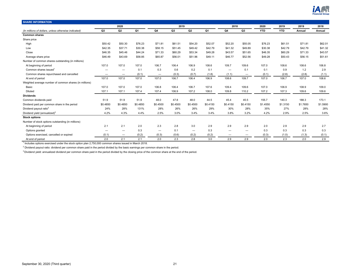

<span id="page-20-0"></span>

| <b>SHARE INFORMATION</b>                               |                          |                          |                |                          |                |                          |                |                          |                          |            |            |          |          |
|--------------------------------------------------------|--------------------------|--------------------------|----------------|--------------------------|----------------|--------------------------|----------------|--------------------------|--------------------------|------------|------------|----------|----------|
|                                                        |                          | 2020                     |                |                          | 2019           |                          |                | 2018                     |                          | 2020       | 2019       | 2019     | 2018     |
| (In millions of dollars, unless otherwise indicated)   | Q <sub>3</sub>           | Q <sub>2</sub>           | Q <sub>1</sub> | Q4                       | Q <sub>3</sub> | Q <sub>2</sub>           | Q <sub>1</sub> | Q4                       | Q3                       | <b>YTD</b> | <b>YTD</b> | Annual   | Annual   |
| <b>Common shares</b>                                   |                          |                          |                |                          |                |                          |                |                          |                          |            |            |          |          |
| Share price                                            |                          |                          |                |                          |                |                          |                |                          |                          |            |            |          |          |
| High                                                   | \$50.42                  | \$50.30                  | \$76.23        | \$71.81                  | \$61.51        | \$54.20                  | \$52.07        | \$52.20                  | \$55.05                  | \$76.23    | \$61.51    | \$71.81  | \$62.01  |
| Low                                                    | \$42.35                  | \$37.71                  | \$30.38        | \$58.15                  | \$51.45        | \$49.42                  | \$42.79        | \$41.32                  | \$49.89                  | \$30.38    | \$42.79    | \$42.79  | \$41.32  |
| Close                                                  | \$46.35                  | \$45.46                  | \$44.24        | \$71.33                  | \$60.29        | \$53.34                  | \$49.28        | \$43.57                  | \$51.65                  | \$46.35    | \$60.29    | \$71.33  | \$43.57  |
| Average share price                                    | \$46.49                  | \$43.69                  | \$58.85        | \$65.87                  | \$56.01        | \$51.96                  | \$49.11        | \$46.77                  | \$52.56                  | \$49.28    | \$50.43    | \$56.15  | \$51.61  |
| Number of common shares outstanding (in millions)      |                          |                          |                |                          |                |                          |                |                          |                          |            |            |          |          |
| At beginning of period                                 | 107.0                    | 107.0                    | 107.0          | 106.7                    | 106.4          | 106.9                    | 108.6          | 109.7                    | 109.6                    | 107.0      | 108.6      | 108.6    | 106.8    |
| Common shares issued                                   |                          | -                        | 0.1            | 0.3                      | 0.6            | 0.2                      | 0.1            | -                        | 0.1                      | 0.1        | 0.9        | 1.2      | 2.9      |
| Common shares repurchased and cancelled                | $\overline{\phantom{0}}$ | $\overline{\phantom{0}}$ | (0.1)          | $\overline{\phantom{0}}$ | (0.3)          | (0.7)                    | (1.8)          | (1.1)                    | $\overline{\phantom{m}}$ | (0.1)      | (2.8)      | (2.8)    | (1.1)    |
| At end of period                                       | 107.0                    | 107.0                    | 107.0          | 107.0                    | 106.7          | 106.4                    | 106.9          | 108.6                    | 109.7                    | 107.0      | 106.7      | 107.0    | 108.6    |
| Weighted average number of common shares (in millions) |                          |                          |                |                          |                |                          |                |                          |                          |            |            |          |          |
| Basic                                                  | 107.0                    | 107.0                    | 107.0          | 106.8                    | 106.4          | 106.7                    | 107.6          | 109.4                    | 109.6                    | 107.0      | 106.9      | 108.9    | 109.0    |
| Diluted                                                | 107.1                    | 107.1                    | 107.4          | 107.4                    | 106.9          | 107.2                    | 108.0          | 109.8                    | 110.2                    | 107.2      | 107.3      | 109.6    | 109.6    |
| <b>Dividends</b>                                       |                          |                          |                |                          |                |                          |                |                          |                          |            |            |          |          |
| Common dividends paid                                  | 51.9                     | 51.9                     | 51.9           | 48.0                     | 47.8           | 48.0                     | 44.5           | 45.4                     | 45.5                     | 155.7      | 140.3      | 188.3    | 173.1    |
| Dividend paid per common share in the period           | \$0.4850                 | \$0.4850                 | \$0.4850       | \$0.4500                 | \$0.4500       | \$0.4500                 | \$0.4150       | \$0.4150                 | \$0.4150                 | \$1.4550   | \$1.3150   | \$1,7650 | \$1.5900 |
| Dividend payout ratio <sup>2</sup>                     | 24%                      | 28%                      | 131%           | 28%                      | 26%            | 26%                      | 29%            | 30%                      | 28%                      | 35%        | 27%        | 28%      | 28%      |
| Dividend yield (annualized) <sup>3</sup>               | 4.2%                     | 4.3%                     | 4.4%           | 2.5%                     | 3.0%           | 3.4%                     | 3.4%           | 3.8%                     | 3.2%                     | 4.2%       | 2.9%       | 2.5%     | 3.6%     |
| <b>Stock options</b>                                   |                          |                          |                |                          |                |                          |                |                          |                          |            |            |          |          |
| Number of stock options outstanding (in millions)      |                          |                          |                |                          |                |                          |                |                          |                          |            |            |          |          |
| At beginning of period                                 | 2.1                      | 2.1                      | 2.0            | 2.3                      | 2.8            | 3.0                      | 2.9            | 2.9                      | 2.9                      | 2.0        | 2.9        | 2.9      | 2.7      |
| Options granted                                        | $\overline{\phantom{0}}$ |                          | 0.3            | $\overline{\phantom{0}}$ | 0.1            | $\overline{\phantom{m}}$ | 0.3            | -                        | $\overline{\phantom{m}}$ | 0.3        | 0.3        | 0.3      | 0.3      |
| Options exercised, cancelled or expired                | (0.1)                    | $\overline{\phantom{0}}$ | (0.2)          | (0.3)                    | (0.6)          | (0.2)                    | (0.2)          | $\overline{\phantom{0}}$ | $\overline{\phantom{m}}$ | (0.3)      | (1.0)      | (1.3)    | (0.1)    |
| At end of period                                       | 2.0                      | 2.1                      | 2.1            | 2.0                      | 2.3            | 2.8                      | 3.0            | 2.9                      | 2.9                      | 2.0        | 2.3        | 2.0      | 2.9      |

1 Includes options exercised under the stock option plan 2,750,000 common shares issued in March 2018.

 $^2$  Dividend payout ratio: dividend per common share paid in the period divided by the basic earnings per common share in the period.

<sup>3</sup> Dividend yield: annualized dividend per common share paid in the period divided by the closing price of the common share at the end of the period.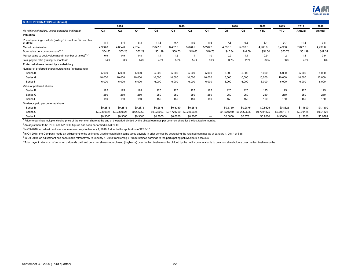

| <b>SHARE INFORMATION (continued)</b>                                                   |             |             |            |            |             |                |                          |             |             |             |             |           |           |
|----------------------------------------------------------------------------------------|-------------|-------------|------------|------------|-------------|----------------|--------------------------|-------------|-------------|-------------|-------------|-----------|-----------|
|                                                                                        |             | 2020        |            |            | 2019        |                |                          | 2018        |             | 2020        | 2019        | 2019      | 2018      |
| (In millions of dollars, unless otherwise indicated)                                   | Q3          | Q2          | Q1         | Q4         | Q3          | Q <sub>2</sub> | Q <sub>1</sub>           | Q4          | Q3          | <b>YTD</b>  | <b>YTD</b>  | Annual    | Annual    |
| Valuation                                                                              |             |             |            |            |             |                |                          |             |             |             |             |           |           |
| Price-to-earnings multiple (trailing 12 months) <sup>1,2</sup> (in number<br>of times) | 8.1         | 8.4         | 8.3        | 11.8       | 9.7         | 8.9            | 8.5                      | 7.8         | 9.5         | 8.1         | 9.7         | 11.8      | 7.8       |
| Market capitalization                                                                  | 4,960.8     | 4,864.6     | 4,734.1    | 7,647.0    | 6,432.0     | 5,676.5        | 5,270.2                  | 4,730.6     | 5,663.5     | 4,960.8     | 6,432.0     | 7,647.0   | 4,730.6   |
| Book value per common share <sup>3,4,5</sup>                                           | \$54.50     | \$53.23     | \$52.29    | \$51.99    | \$50.73     | \$49.63        | \$48.73                  | \$47.34     | \$46.59     | \$54.50     | \$50.73     | \$51.99   | \$47.34   |
| Market value to book value ratio (in number of times) $3,4,5$                          | 0.9         | 0.9         | 0.8        | 1.4        | 1.2         | 1.1            | 1.0                      | 0.9         | 1.1         | 0.9         | 1.2         | 1.4       | 0.9       |
| Total payout ratio (trailing 12 months) <sup>6</sup>                                   | 34%         | 38%         | 44%        | 48%        | 56%         | 55%            | 50%                      | 36%         | 28%         | 34%         | 56%         | 48%       | 36%       |
| Preferred shares issued by a subsidiary                                                |             |             |            |            |             |                |                          |             |             |             |             |           |           |
| Number of preferred shares outstanding (in thousands)                                  |             |             |            |            |             |                |                          |             |             |             |             |           |           |
| Series B                                                                               | 5,000       | 5,000       | 5,000      | 5,000      | 5,000       | 5,000          | 5,000                    | 5,000       | 5,000       | 5,000       | 5,000       | 5,000     | 5,000     |
| Series G                                                                               | 10,000      | 10,000      | 10,000     | 10,000     | 10,000      | 10,000         | 10,000                   | 10,000      | 10.000      | 10,000      | 10,000      | 10,000    | 10,000    |
| Series I                                                                               | 6,000       | 6,000       | 6,000      | 6,000      | 6.000       | 6,000          | 6,000                    | 6,000       | 6,000       | 6,000       | 6,000       | 6,000     | 6,000     |
| Value of preferred shares                                                              |             |             |            |            |             |                |                          |             |             |             |             |           |           |
| Series B                                                                               | 125         | 125         | 125        | 125        | 125         | 125            | 125                      | 125         | 125         | 125         | 125         | 125       | 125       |
| Series G                                                                               | 250         | 250         | 250        | 250        | 250         | 250            | 250                      | 250         | 250         | 250         | 250         | 250       | 250       |
| Series I                                                                               | 150         | 150         | 150        | 150        | 150         | 150            | 150                      | 150         | 150         | 150         | 150         | 150       | 150       |
| Dividends paid per preferred share                                                     |             |             |            |            |             |                |                          |             |             |             |             |           |           |
| Series B                                                                               | \$0.2875    | \$0.2875    | \$0.2875   | \$0.2875   | \$0.5750    | \$0.2875       | $\qquad \qquad \qquad$   | \$0.5750    | \$0.2875    | \$0.8625    | \$0.8625    | \$1.1500  | \$1.1500  |
| Series G                                                                               | \$0.2360625 | \$0.2360625 | \$0.236063 | \$0.236063 | \$0.4721250 | \$0.2360625    | $\overline{\phantom{m}}$ | \$0.4721250 | \$0.2360625 | \$0.7081875 | \$0.7081875 | \$0.94425 | \$0.94425 |
| Series I                                                                               | \$0.3000    | \$0.3000    | \$0.3000   | \$0.3000   | \$0.6000    | \$0.3000       | $\overline{\phantom{m}}$ | \$0.6000    | \$0.3781    | \$0.9000    | 0.90000     | \$1.2000  | \$0.9781  |

<sup>1</sup> Price-to-earnings multiple: closing price of the common share at the end of the period divided by the diluted earnings per common share for the last twelve months.

 $^{2}$  An adjustment to Q1 2019 and Q2 2019 figures has been performed in Q3 2019.

 $3$  In Q3-2018, an adjustment was made retroactively to January 1, 2018, further to the application of IFRS-15.

<sup>4</sup> In Q4-2018, the Company made an adjustment to the estimates used to establish income taxes payable in prior periods by decreasing the retained earnings as at January 1, 2017 by \$58.

<sup>5</sup> In Q4 2019, an adjustment has been made retroactively to January 1, 2018 transferring \$7 from retained earnings to the participating policyholders' accounts.

<sup>6</sup> Total payout ratio: sum of common dividends paid and common shares repurchased (buybacks) over the last twelve months divided by the net income available to common shareholders over the last twelve months.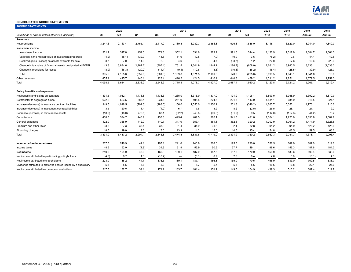

#### <span id="page-22-0"></span>**CONSOLIDATED INCOME STATEMENTS**

| <b>INCOME STATEMENTS</b>                                        |                |                |            |         |                          |         |         |         |         |            |            |          |           |
|-----------------------------------------------------------------|----------------|----------------|------------|---------|--------------------------|---------|---------|---------|---------|------------|------------|----------|-----------|
|                                                                 |                | 2020           |            |         | 2019                     |         |         | 2018    |         | 2020       | 2019       | 2019     | 2018      |
| (In millions of dollars, unless otherwise indicated)            | Q <sub>3</sub> | Q <sub>2</sub> | Q1         | Q4      | Q <sub>3</sub>           | Q2      | Q1      | Q4      | Q3      | <b>YTD</b> | <b>YTD</b> | Annual   | Annual    |
| <b>Revenues</b>                                                 |                |                |            |         |                          |         |         |         |         |            |            |          |           |
| Net premiums                                                    | 3,247.6        | 2,113.4        | 2,755.1    | 2,417.0 | 2,189.5                  | 1,982.7 | 2,354.8 | 1,976.8 | 1,836.0 | 8,116.1    | 6,527.0    | 8,944.0  | 7,849.3   |
| Investment income                                               |                |                |            |         |                          |         |         |         |         |            |            |          |           |
| Investment income                                               | 361.1          | 317.8          | 452.0      | 371.8   | 352.1                    | 331.6   | 329.2   | 391.0   | 314.4   | 1,130.9    | 1,012.9    | 1.384.7  | 1,361.3   |
| Variation in the market value of investment properties          | (4.2)          | (38.1)         | (32.9)     | 43.5    | 11.0                     | (2.5)   | (7.9)   | 10.0    | 3.6     | (75.2)     | 0.6        | 44.1     | 42.8      |
| Realized gains (losses) on assets available for sale            | 3.7            | 7.0            | 11.3       | 2.0     | 4.6                      | 8.3     | 4.7     | (33.7)  | 1.2     | 22.0       | 17.6       | 19.6     | (28.3)    |
| Change in fair value of financial assets designated at FVTPL    | 43.8           | 3,884.6        | (1, 267.2) | (707.4) | 751.5                    | 1,344.9 | 1,844.1 | (186.7) | (608.0) | 2,661.2    | 3,940.5    | 3,233.1  | (1,038.3) |
| Change in provisions for losses                                 | (8.9)          | (16.3)         | (20.2)     | (11.4)  | (9.4)                    | (10.8)  | (8.3)   | (10.3)  | (6.2)   | (45.4)     | (28.5)     | (39.9)   | (26.7)    |
| Total                                                           | 395.5          | 4,155.0        | (857.0)    | (301.5) | 1,109.8                  | 1,671.5 | 2,161.8 | 170.3   | (295.0) | 3,693.5    | 4,943.1    | 4,641.6  | 310.8     |
| Other revenues                                                  | 455.4          | 415.7          | 440.1      | 428.4   | 416.2                    | 424.5   | 410.4   | 440.3   | 439.2   | 1,311.2    | 1,251.1    | 1,679.5  | 1,752.3   |
| Total                                                           | 4.098.5        | 6,684.1        | 2,338.2    | 2,543.9 | 3.715.5                  | 4,078.7 | 4,927.0 | 2,587.4 | 1,980.2 | 13,120.8   | 12,721.2   | 15,265.1 | 9,912.4   |
| Policy benefits and expenses                                    |                |                |            |         |                          |         |         |         |         |            |            |          |           |
| Net benefits and claims on contracts                            | 1,331.5        | 1,082.7        | 1.478.8    | 1,433.3 | 1,265.0                  | 1.316.9 | 1,377.0 | 1.191.9 | 1.196.1 | 3,893.0    | 3,958.9    | 5.392.2  | 4.870.0   |
| Net transfer to segregated funds                                | 622.2          | 523.5          | 688.4      | 234.6   | 261.9                    | 195.5   | 224.5   | 221.5   | 113.9   | 1,834.1    | 681.9      | 916.5    | 821.1     |
| Increase (decrease) in insurance contract liabilities           | 949.5          | 4,018.5        | (702.3)    | (283.0) | 1,156.0                  | 1,550.0 | 2,350.1 | 261.3   | (346.2) | 4,265.7    | 5,056.1    | 4,773.1  | 216.0     |
| Increase (decrease) in investment contract liabilities          | 3.5            | 20.6           | 1.4        | (1.0)   | 6.7                      | 7.5     | 13.9    | 8.2     | (2.5)   | 25.5       | 28.1       | 27.1     | 9.2       |
| Decrease (increase) in reinsurance assets                       | (18.5)         | (18.0)         | (75.5)     | 68.1    | (32.2)                   | (40.8)  | (39.3)  | (31.9)  | 9.5     | (112.0)    | (112.3)    | (44.2)   | 76.2      |
| Commissions                                                     | 468.5          | 394.7          | 440.9      | 433.8   | 425.4                    | 409.5   | 385.1   | 341.5   | 421.0   | 1,304.1    | 1,220.0    | 1,653.8  | 1,582.2   |
| General expenses                                                | 422.0          | 368.9          | 412.0      | 410.7   | 347.0                    | 353.1   | 361.1   | 352.8   | 320.2   | 1,202.9    | 1,061.2    | 1,471.9  | 1,328.8   |
| Premium and other taxes                                         | 33.8           | 27.3           | 33.1       | 33.3    | 31.4                     | 31.9    | 31.6    | 32.1    | 32.8    | 94.2       | 94.9       | 128.2    | 126.9     |
| Financing charges                                               | 18.5           | 19.0           | 17.3       | 17.0    | 13.3                     | 14.2    | 15.0    | 14.5    | 15.4    | 54.8       | 42.5       | 59.5     | 63.0      |
| Total                                                           | 3,831.0        | 6,437.2        | 2,294.1    | 2,346.8 | 3,474.5                  | 3,837.8 | 4,719.0 | 2,391.9 | 1,760.2 | 12,562.3   | 12,031.3   | 14,378.1 | 9,093.4   |
| Income before income taxes                                      | 267.5          | 246.9          | 44.1       | 197.1   | 241.0                    | 240.9   | 208.0   | 195.5   | 220.0   | 558.5      | 689.9      | 887.0    | 819.0     |
| Income taxes                                                    | 48.5           | 52.0           | (1.9)      | 31.3    | 51.9                     | 53.9    | 50.5    | 37.7    | 49.1    | 98.6       | 156.3      | 187.6    | 181.0     |
| Net income                                                      | 219.0          | 194.9          | 46.0       | 165.8   | 189.1                    | 187.0   | 157.5   | 157.8   | 170.9   | 459.9      | 533.6      | 699.4    | 638.0     |
| Net income attributed to participating policyholders            | (4.0)          | 6.7            | 1.3        | (10.7)  | $\overline{\phantom{m}}$ | (0.1)   | 0.7     | 2.8     | 0.4     | 4.0        | 0.6        | (10.1)   | 4.3       |
| Net income attributed to shareholders                           | 223.0          | 188.2          | 44.7       | 176.5   | 189.1                    | 187.1   | 156.8   | 155.0   | 170.5   | 455.9      | 533.0      | 709.5    | 633.7     |
| Dividends attributed to preferred shares issued by a subsidiary | 5.5            | 5.5            | 5.6        | 5.3     | 5.4                      | 5.7     | 5.7     | 5.5     | 5.6     | 16.6       | 16.8       | 22.1     | 21.0      |
| Net income attributed to common shareholders                    | 217.5          | 182.7          | 39.1       | 171.2   | 183.7                    | 181.4   | 151.1   | 149.5   | 164.9   | 439.3      | 516.2      | 687.4    | 612.7     |
|                                                                 |                |                |            |         |                          |         |         |         |         |            |            |          |           |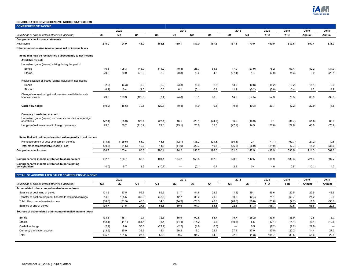

#### **CONSOLIDATED COMPREHENSIVE INCOME STATEMENTS**

| <b>COMPREHENSIVE INCOME</b>                                                |                 |                |         |              |                          |                |                |                |                |            |               |              |        |
|----------------------------------------------------------------------------|-----------------|----------------|---------|--------------|--------------------------|----------------|----------------|----------------|----------------|------------|---------------|--------------|--------|
|                                                                            |                 | 2020           |         |              | 2019                     |                |                | 2018           |                | 2020       | 2019          | 2019         | 2018   |
| (In millions of dollars, unless otherwise indicated)                       | Q <sub>3</sub>  | Q2             | Q1      | Q4           | Q3                       | Q <sub>2</sub> | Q <sub>1</sub> | Q4             | Q <sub>3</sub> | <b>YTD</b> | <b>YTD</b>    | Annual       | Annual |
| <b>Comprehensive income statements</b>                                     |                 |                |         |              |                          |                |                |                |                |            |               |              |        |
| Net income                                                                 | 219.0           | 194.9          | 46.0    | 165.8        | 189.1                    | 187.0          | 157.5          | 157.8          | 170.9          | 459.9      | 533.6         | 699.4        | 638.0  |
| Other comprehensive income (loss), net of income taxes                     |                 |                |         |              |                          |                |                |                |                |            |               |              |        |
| Items that may be reclassified subsequently to net income                  |                 |                |         |              |                          |                |                |                |                |            |               |              |        |
| <b>Available for sale</b>                                                  |                 |                |         |              |                          |                |                |                |                |            |               |              |        |
| Unrealized gains (losses) arising during the period                        |                 |                |         |              |                          |                |                |                |                |            |               |              |        |
| <b>Bonds</b>                                                               | 16.8            | 105.3          | (45.9)  | (11.2)       | (0.8)                    | 28.7           | 65.5           | 17.0           | (27.9)         | 76.2       | 93.4          | 82.2         | (31.0) |
| <b>Stocks</b>                                                              | 29.2            | 39.9           | (72.0)  | 5.2          | (0.3)                    | (8.6)          | 4.6            | (27.1)         | 1.4            | (2.9)      | (4.3)         | 0.9          | (29.4) |
| Reclassification of losses (gains) included in net income                  |                 |                |         |              |                          |                |                |                |                |            |               |              |        |
| <b>Bonds</b>                                                               | (2.0)           | (6.3)          | (6.9)   | (2.2)        | (3.8)                    | (6.9)          | (2.5)          | 13.9           | (0.8)          | (15.2)     | (13.2)        | (15.4)       | 9.0    |
| <b>Stocks</b>                                                              | (0.2)           | 0.4            | (1.0)   | 0.8          | 0.1                      | (0.1)          | 0.4            | 11.1           | (0.2)          | (0.8)      | 0.4           | 1.2          | 11.9   |
| Change in unrealized gains (losses) on available for sale                  |                 |                |         |              |                          |                |                |                |                |            |               |              |        |
| financial assets                                                           | 43.8            | 139.3          | (125.8) | (7.4)        | (4.8)                    | 13.1           | 68.0           | 14.9           | (27.5)         | 57.3       | 76.3          | 68.9         | (39.5) |
| Cash-flow hedge                                                            | (10.2)          | (48.6)         | 79.5    | (20.7)       | (0.4)                    | (1.0)          | (0.8)          | (0.5)          | (0.3)          | 20.7       | (2.2)         | (22.9)       | (1.8)  |
| <b>Currency translation account</b>                                        |                 |                |         |              |                          |                |                |                |                |            |               |              |        |
| Unrealized gains (losses) on currency translation in foreign<br>operations | (72.4)          | (55.9)         | 128.4   | (27.1)       | 16.1                     | (26.1)         | (24.7)         | 56.6           | (16.9)         | 0.1        | (34.7)        | (61.8)       | 85.6   |
| Hedges of net investment in foreign operations                             | 23.0            | 59.2           | (110.2) | 21.3         | (13.1)                   | 20.9           | 19.8           | (47.2)         | 14.3           | (28.0)     | 27.6          | 48.9         | (70.7) |
|                                                                            |                 |                |         |              |                          |                |                |                |                |            |               |              |        |
| Items that will not be reclassified subsequently to net income             |                 |                |         |              |                          |                |                |                |                |            |               |              |        |
| Remeasurement of post-employment benefits                                  | (14.5)          | (125.5)        | 68.9    | 48.5         | (12.7)                   | (35.2)         | (21.8)         | (50.6)         | 2.4            | (71.1)     | (69.7)        | (21.2)       | (9.6)  |
| Total other comprehensive income (loss)                                    | (30.3)          | (31.5)         | 40.8    | 14.6         | (14.9)                   | (28.3)         | 40.5           | (26.8)         | (28.0)         | (21.0)     | (2.7)         | 11.9         | (36.0) |
| <b>Comprehensive income</b>                                                | 188.7           | 163.4          | 86.8    | 180.4        | 174.2                    | 158.7          | 198.0          | 131.0          | 142.9          | 438.9      | 530.9         | 711.3        | 602.0  |
| Comprehensive income attributed to shareholders                            | 192.7           | 156.7          | 85.5    | 191.1        | 174.2                    | 158.8          | 197.3          | 128.2          | 142.5          | 434.9      | 530.3         | 721.4        | 597.7  |
| Comprehensive income attributed to participating<br>policyholders          | (4.0)           | 6.7            | 1.3     | (10.7)       | $\overline{\phantom{0}}$ | (0.1)          | 0.7            | 2.8            | 0.4            | 4.0        | 0.6           | (10.1)       | 4.3    |
|                                                                            |                 |                |         |              |                          |                |                |                |                |            |               |              |        |
| DETAIL OF ACCUMULATED OTHER COMPREHENSIVE INCOME                           |                 | 2020           |         |              | 2019                     |                |                | 2018           |                | 2020       | 2019          | 2019         | 2018   |
| (In millions of dollars, unless otherwise indicated)                       | Q <sub>3</sub>  | Q <sub>2</sub> | Q1      | Q4           | Q <sub>3</sub>           | Q <sub>2</sub> | Q1             | Q4             | Q3             | <b>YTD</b> | <b>YTD</b>    | Annual       | Annual |
|                                                                            |                 |                |         |              |                          |                |                |                |                |            |               |              |        |
| Accumulated other comprehensive income (loss)                              |                 |                | 55.6    | 89.5         |                          | 84.8           |                |                |                | 55.6       | 22.5          | 22.5         | 48.9   |
| Balance at beginning of period                                             | 121.5<br>14.5   | 27.5<br>125.5  |         |              | 91.7<br>12.7             | 35.2           | 22.5<br>21.8   | (1.3)<br>50.6  | 29.1           | 71.1       | 69.7          | 21.2         | 9.6    |
| Transfer of post-employment benefits to retained earnings                  |                 |                | (68.9)  | (48.5)       |                          |                |                |                | (2.4)          |            |               |              |        |
| Total other comprehensive income                                           | (30.3)<br>105.7 | (31.5)         | 40.8    | 14.6<br>55.6 | (14.9)                   | (28.3)         | 40.5           | (26.8)<br>22.5 | (28.0)         | (21.0)     | (2.7)<br>89.5 | 11.9<br>55.6 | (36.0) |
| Balance at end of period                                                   |                 | 121.5          | 27.5    |              | 89.5                     | 91.7           | 84.8           |                | (1.3)          | 105.7      |               |              | 22.5   |
| Sources of accumulated other comprehensive income (loss)                   |                 |                |         |              |                          |                |                |                |                |            |               |              |        |
| <b>Bonds</b>                                                               | 133.5           | 118.7          | 19.7    | 72.5         | 85.9                     | 90.5           | 68.7           | 5.7            | (25.2)         | 133.5      | 85.9          | 72.5         | 5.7    |
| <b>Stocks</b>                                                              | (12.1)          | (41.1)         | (81.4)  | (8.4)        | (14.4)                   | (14.2)         | (5.5)          | (10.5)         | 5.5            | (12.1)     | (14.4)        | (8.4)        | (10.5) |
| Cash-flow hedge                                                            | (2.2)           | 8.0            | 56.6    | (22.9)       | (2.2)                    | (1.8)          | (0.8)          |                | 0.5            | (2.2)      | (2.2)         | (22.9)       |        |
| Currency translation account                                               | (13.5)          | 35.9           | 32.6    | 14.4         | 20.2                     | 17.2           | 22.4           | 27.3           | 17.9           | (13.5)     | 20.2          | 14.4         | 27.3   |
| Total                                                                      | 105.7           | 121.5          | 27.5    | 55.6         | 89.5                     | 91.7           | 84.8           | 22.5           | (1.3)          | 105.7      | 89.5          | 55.6         | 22.5   |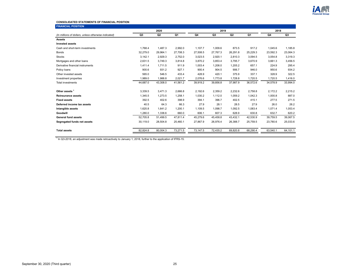

#### **CONSOLIDATED STATEMENTS OF FINANCIAL POSITION**

| <b>FINANCIAL POSITION</b>                            |          |                |          |          |          |          |          |          |          |
|------------------------------------------------------|----------|----------------|----------|----------|----------|----------|----------|----------|----------|
|                                                      |          | 2020           |          |          | 2019     |          |          | 2018     |          |
| (In millions of dollars, unless otherwise indicated) | Q3       | Q <sub>2</sub> | Q1       | Q4       | Q3       | Q2       | Q1       | Q4       | Q3       |
| <b>Assets</b>                                        |          |                |          |          |          |          |          |          |          |
| <b>Invested assets</b>                               |          |                |          |          |          |          |          |          |          |
| Cash and short-term investments                      | 1.768.4  | 1,487.3        | 2,992.0  | 1.107.7  | 1,009.6  | 873.5    | 917.2    | 1.045.6  | 1,185.8  |
| <b>Bonds</b>                                         | 32,279.0 | 29,964.1       | 27.708.3 | 27,508.5 | 27.767.3 | 26,291.8 | 25,229.3 | 23,592.3 | 23,064.3 |
| <b>Stocks</b>                                        | 3.142.1  | 2,929.3        | 2,752.0  | 3,023.5  | 2,920.1  | 2.810.3  | 3,094.5  | 3,054.8  | 3,319.3  |
| Mortgages and other loans                            | 2.631.5  | 3,749.3        | 3,814.8  | 3.870.2  | 3.853.4  | 3.795.7  | 3,670.9  | 3,661.3  | 3,456.5  |
| Derivative financial instruments                     | 1,411.4  | 1,711.5        | 911.9    | 1,003.4  | 1,208.0  | 1,205.2  | 657.1    | 224.9    | 295.4    |
| Policy loans                                         | 900.6    | 931.2          | 927.1    | 900.4    | 904.5    | 906.7    | 946.0    | 950.6    | 934.2    |
| Other invested assets                                | 565.0    | 546.5          | 433.4    | 428.9    | 420.1    | 375.9    | 337.1    | 328.9    | 322.5    |
| Investment properties                                | 1,989.0  | 1,988.8        | 2,021.7  | 2,076.6  | 1,773.8  | 1,728.8  | 1,720.5  | 1,720.5  | 1,416.0  |
| Total investments                                    | 44,687.0 | 43,308.0       | 41,561.2 | 39,919.2 | 39,856.8 | 37,987.9 | 36,572.6 | 34,578.9 | 33,994.0 |
| Other assets <sup>1</sup>                            | 3,339.5  | 3,471.3        | 2,666.8  | 2,192.6  | 2,359.2  | 2,232.6  | 2,758.8  | 2,172.2  | 2,215.2  |
| <b>Reinsurance assets</b>                            | 1,345.5  | 1,273.5        | 1,258.1  | 1,030.2  | 1,112.0  | 1,059.2  | 1,042.3  | 1,000.8  | 887.0    |
| <b>Fixed assets</b>                                  | 392.5    | 402.6          | 398.9    | 394.1    | 396.7    | 402.5    | 415.1    | 277.5    | 271.5    |
| Deferred income tax assets                           | 40.5     | 64.3           | 66.3     | 27.9     | 28.1     | 28.5     | 27.9     | 26.0     | 26.2     |
| Intangible assets                                    | 1,620.8  | 1,641.2        | 1,200.1  | 1,109.5  | 1,098.7  | 1,092.5  | 1,083.4  | 1,071.4  | 1,053.4  |
| Goodwill                                             | 1.280.0  | 1,338.6        | 660.0    | 606.1    | 607.3    | 628.9    | 630.8    | 632.7    | 620.2    |
| <b>General fund assets</b>                           | 52.705.8 | 51,499.5       | 47.811.4 | 45,279.6 | 45.458.8 | 43.432.1 | 42,530.9 | 39,759.5 | 39,067.5 |
| Segregated funds net assets                          | 30,119.0 | 28,504.8       | 25,460.1 | 27,867.9 | 26,976.4 | 26,388.7 | 25,759.5 | 23,780.6 | 25,033.6 |
| <b>Total assets</b>                                  | 82,824.8 | 80,004.3       | 73,271.5 | 73,147.5 | 72,435.2 | 69,820.8 | 68,290.4 | 63,540.1 | 64,101.1 |
|                                                      |          |                |          |          |          |          |          |          |          |

<sup>1</sup> In Q3-2018, an adjustment was made retroactively to January 1, 2018, further to the application of IFRS-15.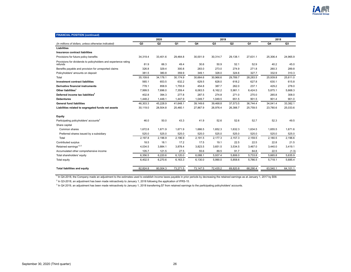

| <b>FINANCIAL POSITION (continued)</b>                                      |                |                |          |          |                |                |          |          |          |
|----------------------------------------------------------------------------|----------------|----------------|----------|----------|----------------|----------------|----------|----------|----------|
|                                                                            | 2020           |                |          | 2019     |                |                |          | 2018     |          |
| (In millions of dollars, unless otherwise indicated)                       | Q <sub>3</sub> | Q <sub>2</sub> | Q1       | Q4       | Q <sub>3</sub> | Q <sub>2</sub> | Q1       | Q4       | Q3       |
| Liabilities                                                                |                |                |          |          |                |                |          |          |          |
| Insurance contract liabilities                                             |                |                |          |          |                |                |          |          |          |
| Provisions for future policy benefits                                      | 34,319.4       | 33,401.6       | 29,464.8 | 30,001.9 | 30,314.7       | 29,138.1       | 27,631.1 | 25,306.4 | 24,965.9 |
| Provisions for dividends to policyholders and experience rating<br>refunds | 81.9           | 66.3           | 49.4     | 30.6     | 50.9           | 52.1           | 52.9     | 40.2     | 45.0     |
| Benefits payable and provision for unreported claims                       | 326.8          | 329.4          | 300.8    | 283.0    | 273.0          | 274.9          | 271.8    | 260.3    | 289.8    |
| Policyholders' amounts on deposit                                          | 381.5          | 380.8          | 359.9    | 349.1    | 328.0          | 324.6          | 327.7    | 332.9    | 310.3    |
| Total                                                                      | 35,109.6       | 34,178.1       | 30,174.9 | 30,664.6 | 30,966.6       | 29,789.7       | 28,283.5 | 25,939.8 | 25,611.0 |
| <b>Investment contract liabilities</b>                                     | 565.1          | 653.5          | 632.2    | 629.5    | 628.0          | 618.2          | 627.8    | 630.1    | 615.8    |
| <b>Derivative financial instruments</b>                                    | 778.1          | 858.9          | 1,755.9  | 454.8    | 387.7          | 262.0          | 237.1    | 429.2    | 278.0    |
| Other liabilities <sup>1</sup>                                             | 7,999.5        | 7,696.0        | 7,359.4  | 6,063.5  | 6,162.2        | 5,981.1        | 6,424.5  | 5,875.1  | 5,668.3  |
| Deferred income tax liabilities <sup>2</sup>                               | 402.8          | 394.3          | 277.8    | 287.5    | 274.8          | 271.0          | 270.0    | 265.8    | 308.0    |
| <b>Debentures</b>                                                          | 1,448.2        | 1,448.1        | 1,447.9  | 1,049.7  | 1,049.5        | 651.5          | 901.5    | 901.4    | 901.0    |
| <b>General fund liabilities</b>                                            | 46.303.3       | 45,228.9       | 41.648.1 | 39,149.6 | 39.468.8       | 37,573.5       | 36.744.4 | 34,041.4 | 33,382.1 |
| Liabilities related to segregated funds net assets                         | 30,119.0       | 28,504.8       | 25,460.1 | 27,867.9 | 26,976.4       | 26,388.7       | 25,759.5 | 23,780.6 | 25,033.6 |
| Equity                                                                     |                |                |          |          |                |                |          |          |          |
| Participating policyholders' accounts <sup>3</sup>                         | 46.0           | 50.0           | 43.3     | 41.9     | 52.6           | 52.6           | 52.7     | 52.3     | 49.5     |
| Share capital                                                              |                |                |          |          |                |                |          |          |          |
| Common shares                                                              | 1,672.8        | 1,671.9        | 1,671.9  | 1,666.5  | 1,652.3        | 1,632.3        | 1,634.5  | 1.655.5  | 1,671.6  |
| Preferred shares issued by a subsidiary                                    | 525.0          | 525.0          | 525.0    | 525.0    | 525.0          | 525.0          | 525.0    | 525.0    | 525.0    |
| Total                                                                      | 2,197.8        | 2,196.9        | 2,196.9  | 2,191.5  | 2,177.3        | 2,157.3        | 2,159.5  | 2,180.5  | 2,196.6  |
| Contributed surplus                                                        | 18.5           | 18.1           | 17.2     | 17.5     | 19.1           | 22.5           | 22.5     | 22.8     | 21.5     |
| Retained earnings <sup>1,2,3</sup>                                         | 4,034.5        | 3,884.1        | 3,878.4  | 3,823.5  | 3,651.5        | 3,534.5        | 3,467.0  | 3,440.0  | 3,419.1  |
| Accumulated other comprehensive income                                     | 105.7          | 121.5          | 27.5     | 55.6     | 89.5           | 91.7           | 84.8     | 22.5     | (1.3)    |
| Total shareholders' equity                                                 | 6,356.5        | 6,220.6        | 6,120.0  | 6,088.1  | 5,937.4        | 5,806.0        | 5,733.8  | 5,665.8  | 5,635.9  |
| Total equity                                                               | 6,402.5        | 6,270.6        | 6,163.3  | 6,130.0  | 5,990.0        | 5,858.6        | 5,786.5  | 5,718.1  | 5,685.4  |
| <b>Total liabilities and equity</b>                                        | 82,824.8       | 80,004.3       | 73,271.5 | 73,147.5 | 72,435.2       | 69,820.8       | 68,290.4 | 63,540.1 | 64,101.1 |

<sup>1</sup> In Q4-2018, the Company made an adjustment to the estimates used to establish income taxes payable in prior periods by decreasing the retained earnings as at January 1, 2017 by \$58.

<sup>2</sup> In Q3-2018, an adjustment has been made retroactively to January 1, 2018 following the application of IFRS-15.

 $3$  In Q4 2019, an adjustment has been made retroactively to January 1, 2018 transferring \$7 from retained earnings to the participating policyholders' accounts.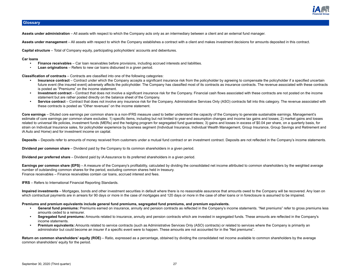

## <span id="page-26-0"></span>**Glossary**

**Assets under administration** – All assets with respect to which the Company acts only as an intermediary between a client and an external fund manager.

**Assets under management** – All assets with respect to which the Company establishes a contract with a client and makes investment decisions for amounts deposited in this contract.

**Capital structure** – Total of Company equity, participating policyholders' accounts and debentures.

#### **Car loans**

- **• Finance receivables**  Car loan receivables before provisions, including accrued interests and liabilities.
- **Loan originations** Refers to new car loans disbursed in a given period.

**Classification of contracts** – Contracts are classified into one of the following categories:

- **• Insurance contract** Contract under which the Company accepts a significant insurance risk from the policyholder by agreeing to compensate the policyholder if a specified uncertain future event (the insured event) adversely affects the policyholder. The Company has classified most of its contracts as insurance contracts. The revenue associated with these contracts is posted as "Premiums" on the income statement.
- **• Investment contract** Contract that does not involve a significant insurance risk for the Company. Financial cash flows associated with these contracts are not posted on the income statement but are rather posted directly on the balance sheet of the Company.
- Service contract Contract that does not involve any insurance risk for the Company. Administrative Services Only (ASO) contracts fall into this category. The revenue associated with these contracts is posted as "Other revenues" on the income statement.

Core earnings – Diluted core earnings per common share is a non-IFRS measure used to better understand the capacity of the Company to generate sustainable earnings. Management's estimate of core earnings per common share excludes: 1) specific items, including but not limited to year-end assumption changes and income tax gains and losses; 2) market gains and losses related to universal life policies, investment funds (MERs) and the hedging program for segregated fund guarantees; 3) gains and losses in excess of \$0.04 per share, on a quarterly basis, for strain on Individual Insurance sales, for policyholder experience by business segment (Individual Insurance, Individual Wealth Management, Group Insurance, Group Savings and Retirement and iA Auto and Home) and for investment income on capital.

Deposits – Deposits refer to amounts of money received from customers under a mutual fund contract or an investment contract. Deposits are not reflected in the Company's income statements.

**Dividend per common share** – Dividend paid by the Company to its common shareholders in a given period.

**Dividend per preferred share** – Dividend paid by iA Assurance to its preferred shareholders in a given period.

**Earnings per common share (EPS)** – A measure of the Company's profitability, calculated by dividing the consolidated net income attributed to common shareholders by the weighted average number of outstanding common shares for the period, excluding common shares held in treasury. Finance receivables – Finance receivables contain car loans, accrued interest and fees.

**IFRS** – Refers to International Financial Reporting Standards.

**Impaired investments** – Mortgages, bonds and other investment securities in default where there is no reasonable assurance that amounts owed to the Company will be recovered. Any loan on which contractual payments are in arrears for 90 days or more in the case of mortgages and 120 days or more in the case of other loans or in foreclosure is assumed to be impaired.

**Premiums and premium equivalents include general fund premiums, segregated fund premiums, and premium equivalents.** 

- **• General fund premiums:** Premiums earned on insurance, annuity and pension contracts as reflected in the Company's income statements. "Net premiums" refer to gross premiums less amounts ceded to a reinsurer.
- **• Segregated fund premiums:** Amounts related to insurance, annuity and pension contracts which are invested in segregated funds. These amounts are reflected in the Company's income statements.
- **• Premium equivalents:** Amounts related to service contracts (such as Administrative Services Only (ASO) contracts) or related to services where the Company is primarily an administrator but could become an insurer if a specific event were to happen. These amounts are not accounted for in the "Net premiums".

Return on common shareholders' equity (ROE) – Ratio, expressed as a percentage, obtained by dividing the consolidated net income available to common shareholders by the average common shareholders' equity for the period.